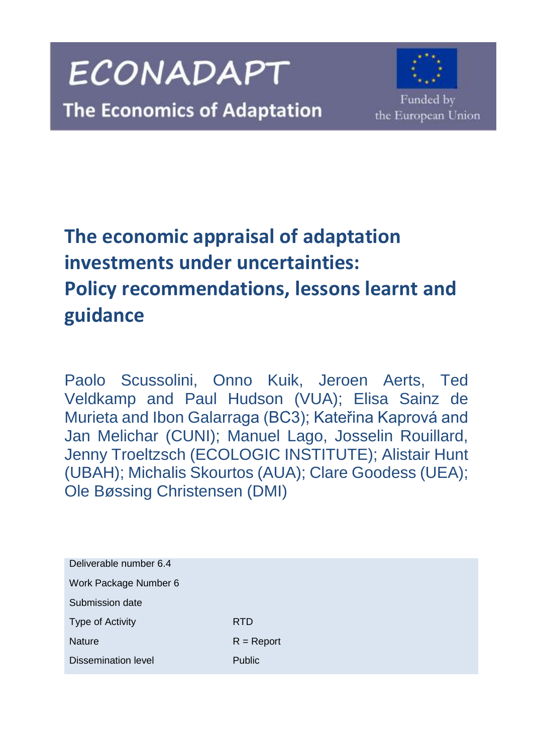



Funded by the European Union

# **The economic appraisal of adaptation investments under uncertainties: Policy recommendations, lessons learnt and guidance**

Paolo Scussolini, Onno Kuik, Jeroen Aerts, Ted Veldkamp and Paul Hudson (VUA); Elisa Sainz de Murieta and Ibon Galarraga (BC3); Kateřina Kaprová and Jan Melichar (CUNI); Manuel Lago, Josselin Rouillard, Jenny Troeltzsch (ECOLOGIC INSTITUTE); Alistair Hunt (UBAH); Michalis Skourtos (AUA); Clare Goodess (UEA); Ole Bøssing Christensen (DMI)

| Deliverable number 6.4     |               |
|----------------------------|---------------|
| Work Package Number 6      |               |
| Submission date            |               |
| Type of Activity           | <b>RTD</b>    |
| <b>Nature</b>              | $R =$ Report  |
| <b>Dissemination level</b> | <b>Public</b> |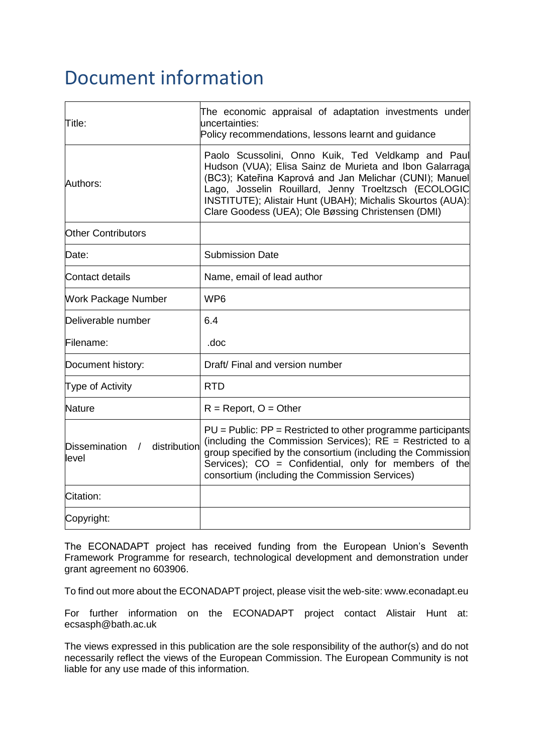## Document information

| Title:                                    | The economic appraisal of adaptation investments under<br>uncertainties:<br>Policy recommendations, lessons learnt and guidance                                                                                                                                                                                                                      |  |  |
|-------------------------------------------|------------------------------------------------------------------------------------------------------------------------------------------------------------------------------------------------------------------------------------------------------------------------------------------------------------------------------------------------------|--|--|
| Authors:                                  | Paolo Scussolini, Onno Kuik, Ted Veldkamp and Paul<br>Hudson (VUA); Elisa Sainz de Murieta and Ibon Galarraga<br>(BC3); Kateřina Kaprová and Jan Melichar (CUNI); Manuel<br>Lago, Josselin Rouillard, Jenny Troeltzsch (ECOLOGIC<br>INSTITUTE); Alistair Hunt (UBAH); Michalis Skourtos (AUA):<br>Clare Goodess (UEA); Ole Bøssing Christensen (DMI) |  |  |
| <b>Other Contributors</b>                 |                                                                                                                                                                                                                                                                                                                                                      |  |  |
| Date:                                     | <b>Submission Date</b>                                                                                                                                                                                                                                                                                                                               |  |  |
| <b>Contact details</b>                    | Name, email of lead author                                                                                                                                                                                                                                                                                                                           |  |  |
| <b>Work Package Number</b>                | WP <sub>6</sub>                                                                                                                                                                                                                                                                                                                                      |  |  |
| Deliverable number                        | 6.4                                                                                                                                                                                                                                                                                                                                                  |  |  |
| Filename:                                 | .doc                                                                                                                                                                                                                                                                                                                                                 |  |  |
| Document history:                         | Draft/ Final and version number                                                                                                                                                                                                                                                                                                                      |  |  |
| Type of Activity                          | <b>RTD</b>                                                                                                                                                                                                                                                                                                                                           |  |  |
| Nature                                    | $R =$ Report, $O =$ Other                                                                                                                                                                                                                                                                                                                            |  |  |
| Dissemination /<br>distribution<br>llevel | PU = Public: PP = Restricted to other programme participants<br>(including the Commission Services); $RE =$ Restricted to a<br>group specified by the consortium (including the Commission<br>Services); CO = Confidential, only for members of the<br>consortium (including the Commission Services)                                                |  |  |
| Citation:                                 |                                                                                                                                                                                                                                                                                                                                                      |  |  |
| Copyright:                                |                                                                                                                                                                                                                                                                                                                                                      |  |  |

The ECONADAPT project has received funding from the European Union's Seventh Framework Programme for research, technological development and demonstration under grant agreement no 603906.

To find out more about the ECONADAPT project, please visit the web-site: www.econadapt.eu

For further information on the ECONADAPT project contact Alistair Hunt at: ecsasph@bath.ac.uk

The views expressed in this publication are the sole responsibility of the author(s) and do not necessarily reflect the views of the European Commission. The European Community is not liable for any use made of this information.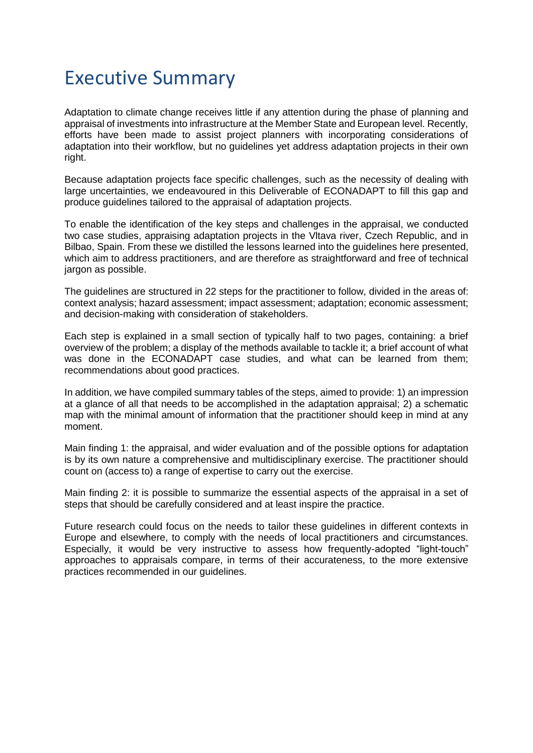## Executive Summary

Adaptation to climate change receives little if any attention during the phase of planning and appraisal of investments into infrastructure at the Member State and European level. Recently, efforts have been made to assist project planners with incorporating considerations of adaptation into their workflow, but no guidelines yet address adaptation projects in their own right.

Because adaptation projects face specific challenges, such as the necessity of dealing with large uncertainties, we endeavoured in this Deliverable of ECONADAPT to fill this gap and produce guidelines tailored to the appraisal of adaptation projects.

To enable the identification of the key steps and challenges in the appraisal, we conducted two case studies, appraising adaptation projects in the Vltava river, Czech Republic, and in Bilbao, Spain. From these we distilled the lessons learned into the guidelines here presented, which aim to address practitioners, and are therefore as straightforward and free of technical jargon as possible.

The guidelines are structured in 22 steps for the practitioner to follow, divided in the areas of: context analysis; hazard assessment; impact assessment; adaptation; economic assessment; and decision-making with consideration of stakeholders.

Each step is explained in a small section of typically half to two pages, containing: a brief overview of the problem; a display of the methods available to tackle it; a brief account of what was done in the ECONADAPT case studies, and what can be learned from them; recommendations about good practices.

In addition, we have compiled summary tables of the steps, aimed to provide: 1) an impression at a glance of all that needs to be accomplished in the adaptation appraisal; 2) a schematic map with the minimal amount of information that the practitioner should keep in mind at any moment.

Main finding 1: the appraisal, and wider evaluation and of the possible options for adaptation is by its own nature a comprehensive and multidisciplinary exercise. The practitioner should count on (access to) a range of expertise to carry out the exercise.

Main finding 2: it is possible to summarize the essential aspects of the appraisal in a set of steps that should be carefully considered and at least inspire the practice.

Future research could focus on the needs to tailor these guidelines in different contexts in Europe and elsewhere, to comply with the needs of local practitioners and circumstances. Especially, it would be very instructive to assess how frequently-adopted "light-touch" approaches to appraisals compare, in terms of their accurateness, to the more extensive practices recommended in our guidelines.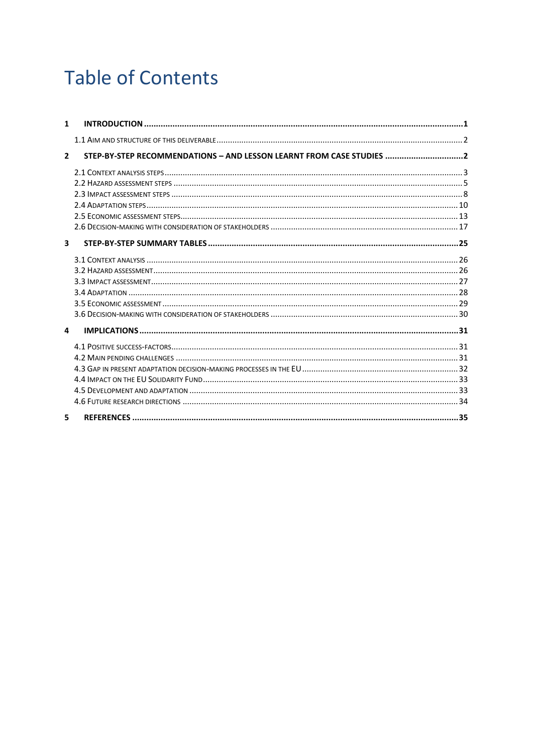# **Table of Contents**

| $\mathbf{1}$            |                                                                       |  |
|-------------------------|-----------------------------------------------------------------------|--|
|                         |                                                                       |  |
| $\overline{2}$          | STEP-BY-STEP RECOMMENDATIONS - AND LESSON LEARNT FROM CASE STUDIES  2 |  |
|                         |                                                                       |  |
|                         |                                                                       |  |
|                         |                                                                       |  |
|                         |                                                                       |  |
|                         |                                                                       |  |
|                         |                                                                       |  |
| $\overline{\mathbf{3}}$ |                                                                       |  |
|                         |                                                                       |  |
|                         |                                                                       |  |
|                         |                                                                       |  |
|                         |                                                                       |  |
|                         |                                                                       |  |
|                         |                                                                       |  |
| $\mathbf{a}$            |                                                                       |  |
|                         |                                                                       |  |
|                         |                                                                       |  |
|                         |                                                                       |  |
|                         |                                                                       |  |
|                         |                                                                       |  |
|                         |                                                                       |  |
| 5                       |                                                                       |  |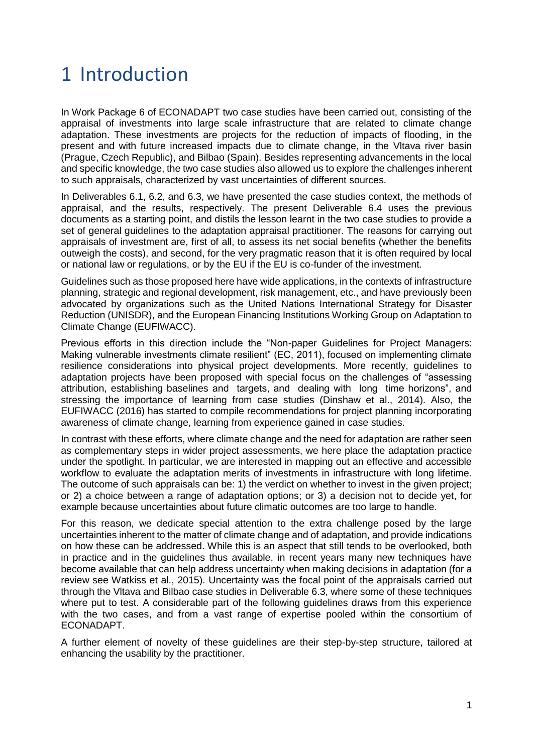## <span id="page-4-0"></span>1 Introduction

In Work Package 6 of ECONADAPT two case studies have been carried out, consisting of the appraisal of investments into large scale infrastructure that are related to climate change adaptation. These investments are projects for the reduction of impacts of flooding, in the present and with future increased impacts due to climate change, in the Vltava river basin (Prague, Czech Republic), and Bilbao (Spain). Besides representing advancements in the local and specific knowledge, the two case studies also allowed us to explore the challenges inherent to such appraisals, characterized by vast uncertainties of different sources.

In Deliverables 6.1, 6.2, and 6.3, we have presented the case studies context, the methods of appraisal, and the results, respectively. The present Deliverable 6.4 uses the previous documents as a starting point, and distils the lesson learnt in the two case studies to provide a set of general guidelines to the adaptation appraisal practitioner. The reasons for carrying out appraisals of investment are, first of all, to assess its net social benefits (whether the benefits outweigh the costs), and second, for the very pragmatic reason that it is often required by local or national law or regulations, or by the EU if the EU is co-funder of the investment.

Guidelines such as those proposed here have wide applications, in the contexts of infrastructure planning, strategic and regional development, risk management, etc., and have previously been advocated by organizations such as the United Nations International Strategy for Disaster Reduction (UNISDR), and the European Financing Institutions Working Group on Adaptation to Climate Change (EUFIWACC).

Previous efforts in this direction include the "Non-paper Guidelines for Project Managers: Making vulnerable investments climate resilient" (EC, 2011), focused on implementing climate resilience considerations into physical project developments. More recently, guidelines to adaptation projects have been proposed with special focus on the challenges of "assessing attribution, establishing baselines and targets, and dealing with long time horizons", and stressing the importance of learning from case studies (Dinshaw et al., 2014). Also, the EUFIWACC (2016) has started to compile recommendations for project planning incorporating awareness of climate change, learning from experience gained in case studies.

In contrast with these efforts, where climate change and the need for adaptation are rather seen as complementary steps in wider project assessments, we here place the adaptation practice under the spotlight. In particular, we are interested in mapping out an effective and accessible workflow to evaluate the adaptation merits of investments in infrastructure with long lifetime. The outcome of such appraisals can be: 1) the verdict on whether to invest in the given project; or 2) a choice between a range of adaptation options; or 3) a decision not to decide yet, for example because uncertainties about future climatic outcomes are too large to handle.

For this reason, we dedicate special attention to the extra challenge posed by the large uncertainties inherent to the matter of climate change and of adaptation, and provide indications on how these can be addressed. While this is an aspect that still tends to be overlooked, both in practice and in the guidelines thus available, in recent years many new techniques have become available that can help address uncertainty when making decisions in adaptation (for a review see Watkiss et al., 2015). Uncertainty was the focal point of the appraisals carried out through the Vltava and Bilbao case studies in Deliverable 6.3, where some of these techniques where put to test. A considerable part of the following quidelines draws from this experience with the two cases, and from a vast range of expertise pooled within the consortium of ECONADAPT.

A further element of novelty of these guidelines are their step-by-step structure, tailored at enhancing the usability by the practitioner.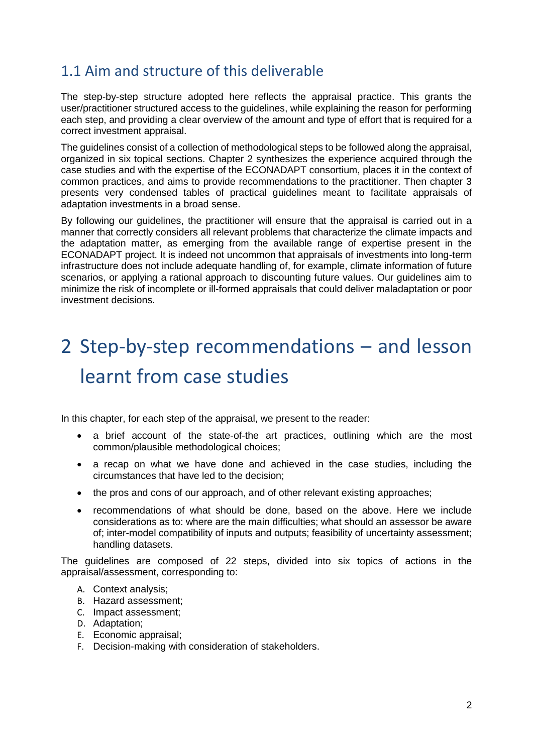## <span id="page-5-0"></span>1.1 Aim and structure of this deliverable

The step-by-step structure adopted here reflects the appraisal practice. This grants the user/practitioner structured access to the guidelines, while explaining the reason for performing each step, and providing a clear overview of the amount and type of effort that is required for a correct investment appraisal.

The guidelines consist of a collection of methodological steps to be followed along the appraisal, organized in six topical sections. Chapter 2 synthesizes the experience acquired through the case studies and with the expertise of the ECONADAPT consortium, places it in the context of common practices, and aims to provide recommendations to the practitioner. Then chapter 3 presents very condensed tables of practical guidelines meant to facilitate appraisals of adaptation investments in a broad sense.

By following our guidelines, the practitioner will ensure that the appraisal is carried out in a manner that correctly considers all relevant problems that characterize the climate impacts and the adaptation matter, as emerging from the available range of expertise present in the ECONADAPT project. It is indeed not uncommon that appraisals of investments into long-term infrastructure does not include adequate handling of, for example, climate information of future scenarios, or applying a rational approach to discounting future values. Our guidelines aim to minimize the risk of incomplete or ill-formed appraisals that could deliver maladaptation or poor investment decisions.

# <span id="page-5-1"></span>2 Step-by-step recommendations – and lesson learnt from case studies

In this chapter, for each step of the appraisal, we present to the reader:

- a brief account of the state-of-the art practices, outlining which are the most common/plausible methodological choices;
- a recap on what we have done and achieved in the case studies, including the circumstances that have led to the decision;
- the pros and cons of our approach, and of other relevant existing approaches;
- recommendations of what should be done, based on the above. Here we include considerations as to: where are the main difficulties; what should an assessor be aware of; inter-model compatibility of inputs and outputs; feasibility of uncertainty assessment; handling datasets.

The guidelines are composed of 22 steps, divided into six topics of actions in the appraisal/assessment, corresponding to:

- A. Context analysis;
- B. Hazard assessment;
- C. Impact assessment;
- D. Adaptation;
- E. Economic appraisal;
- F. Decision-making with consideration of stakeholders.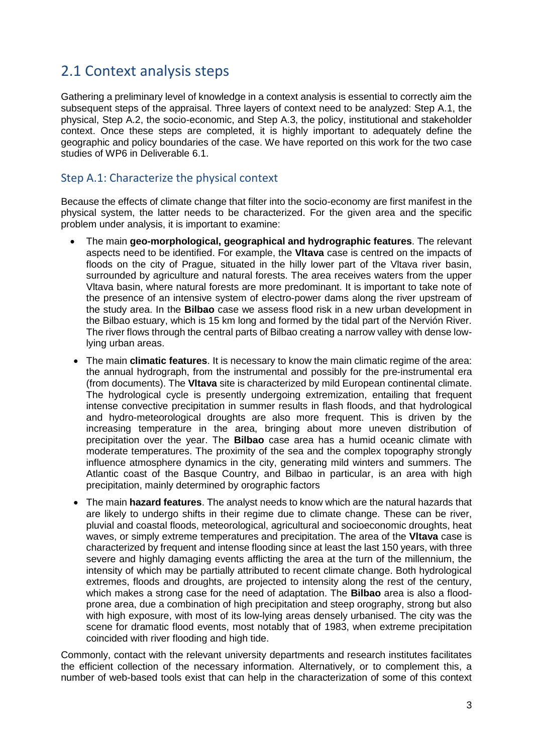### <span id="page-6-0"></span>2.1 Context analysis steps

Gathering a preliminary level of knowledge in a context analysis is essential to correctly aim the subsequent steps of the appraisal. Three layers of context need to be analyzed: Step A.1, the physical, Step A.2, the socio-economic, and Step A.3, the policy, institutional and stakeholder context. Once these steps are completed, it is highly important to adequately define the geographic and policy boundaries of the case. We have reported on this work for the two case studies of WP6 in Deliverable 6.1.

#### Step A.1: Characterize the physical context

Because the effects of climate change that filter into the socio-economy are first manifest in the physical system, the latter needs to be characterized. For the given area and the specific problem under analysis, it is important to examine:

- The main **geo-morphological, geographical and hydrographic features**. The relevant aspects need to be identified. For example, the **Vltava** case is centred on the impacts of floods on the city of Prague, situated in the hilly lower part of the Vltava river basin, surrounded by agriculture and natural forests. The area receives waters from the upper Vltava basin, where natural forests are more predominant. It is important to take note of the presence of an intensive system of electro-power dams along the river upstream of the study area. In the **Bilbao** case we assess flood risk in a new urban development in the Bilbao estuary, which is 15 km long and formed by the tidal part of the Nervión River. The river flows through the central parts of Bilbao creating a narrow valley with dense lowlying urban areas.
- The main **climatic features**. It is necessary to know the main climatic regime of the area: the annual hydrograph, from the instrumental and possibly for the pre-instrumental era (from documents). The **Vltava** site is characterized by mild European continental climate. The hydrological cycle is presently undergoing extremization, entailing that frequent intense convective precipitation in summer results in flash floods, and that hydrological and hydro-meteorological droughts are also more frequent. This is driven by the increasing temperature in the area, bringing about more uneven distribution of precipitation over the year. The **Bilbao** case area has a humid oceanic climate with moderate temperatures. The proximity of the sea and the complex topography strongly influence atmosphere dynamics in the city, generating mild winters and summers. The Atlantic coast of the Basque Country, and Bilbao in particular, is an area with high precipitation, mainly determined by orographic factors
- The main **hazard features**. The analyst needs to know which are the natural hazards that are likely to undergo shifts in their regime due to climate change. These can be river, pluvial and coastal floods, meteorological, agricultural and socioeconomic droughts, heat waves, or simply extreme temperatures and precipitation. The area of the **Vltava** case is characterized by frequent and intense flooding since at least the last 150 years, with three severe and highly damaging events afflicting the area at the turn of the millennium, the intensity of which may be partially attributed to recent climate change. Both hydrological extremes, floods and droughts, are projected to intensity along the rest of the century, which makes a strong case for the need of adaptation. The **Bilbao** area is also a floodprone area, due a combination of high precipitation and steep orography, strong but also with high exposure, with most of its low-lying areas densely urbanised. The city was the scene for dramatic flood events, most notably that of 1983, when extreme precipitation coincided with river flooding and high tide.

Commonly, contact with the relevant university departments and research institutes facilitates the efficient collection of the necessary information. Alternatively, or to complement this, a number of web-based tools exist that can help in the characterization of some of this context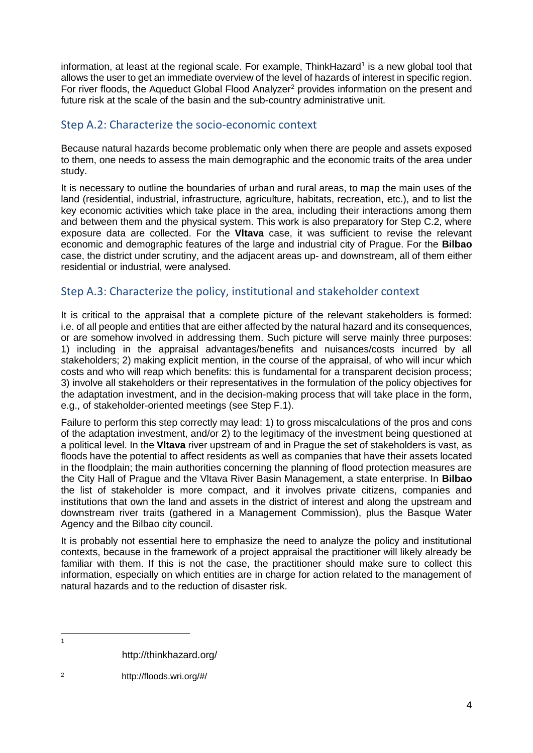information, at least at the regional scale. For example, ThinkHazard<sup>1</sup> is a new global tool that allows the user to get an immediate overview of the level of hazards of interest in specific region. For river floods, the Aqueduct Global Flood Analyzer<sup>2</sup> provides information on the present and future risk at the scale of the basin and the sub-country administrative unit.

#### Step A.2: Characterize the socio-economic context

Because natural hazards become problematic only when there are people and assets exposed to them, one needs to assess the main demographic and the economic traits of the area under study.

It is necessary to outline the boundaries of urban and rural areas, to map the main uses of the land (residential, industrial, infrastructure, agriculture, habitats, recreation, etc.), and to list the key economic activities which take place in the area, including their interactions among them and between them and the physical system. This work is also preparatory for Step C.2, where exposure data are collected. For the **Vltava** case, it was sufficient to revise the relevant economic and demographic features of the large and industrial city of Prague. For the **Bilbao** case, the district under scrutiny, and the adjacent areas up- and downstream, all of them either residential or industrial, were analysed.

#### Step A.3: Characterize the policy, institutional and stakeholder context

It is critical to the appraisal that a complete picture of the relevant stakeholders is formed: i.e. of all people and entities that are either affected by the natural hazard and its consequences, or are somehow involved in addressing them. Such picture will serve mainly three purposes: 1) including in the appraisal advantages/benefits and nuisances/costs incurred by all stakeholders; 2) making explicit mention, in the course of the appraisal, of who will incur which costs and who will reap which benefits: this is fundamental for a transparent decision process; 3) involve all stakeholders or their representatives in the formulation of the policy objectives for the adaptation investment, and in the decision-making process that will take place in the form, e.g., of stakeholder-oriented meetings (see Step F.1).

Failure to perform this step correctly may lead: 1) to gross miscalculations of the pros and cons of the adaptation investment, and/or 2) to the legitimacy of the investment being questioned at a political level. In the **Vltava** river upstream of and in Prague the set of stakeholders is vast, as floods have the potential to affect residents as well as companies that have their assets located in the floodplain; the main authorities concerning the planning of flood protection measures are the City Hall of Prague and the Vltava River Basin Management, a state enterprise. In **Bilbao**  the list of stakeholder is more compact, and it involves private citizens, companies and institutions that own the land and assets in the district of interest and along the upstream and downstream river traits (gathered in a Management Commission), plus the Basque Water Agency and the Bilbao city council.

It is probably not essential here to emphasize the need to analyze the policy and institutional contexts, because in the framework of a project appraisal the practitioner will likely already be familiar with them. If this is not the case, the practitioner should make sure to collect this information, especially on which entities are in charge for action related to the management of natural hazards and to the reduction of disaster risk.

 $\overline{1}$ 

http://thinkhazard.org/

<sup>2</sup> http://floods.wri.org/#/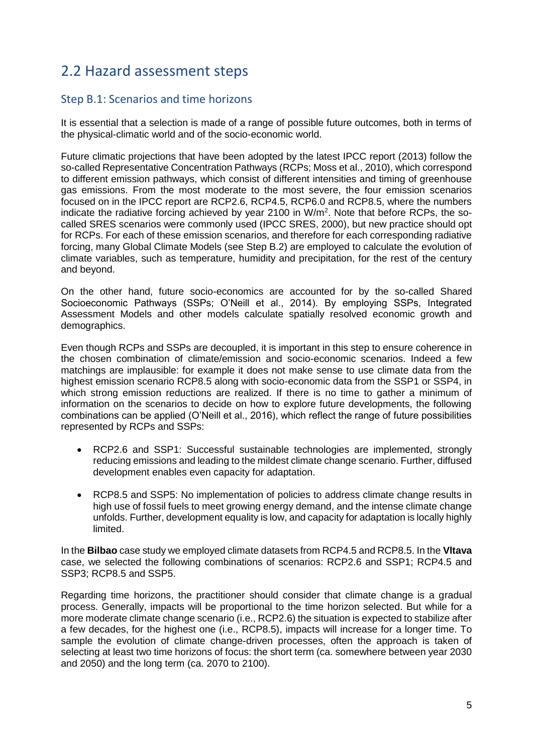## <span id="page-8-0"></span>2.2 Hazard assessment steps

#### Step B.1: Scenarios and time horizons

It is essential that a selection is made of a range of possible future outcomes, both in terms of the physical-climatic world and of the socio-economic world.

Future climatic projections that have been adopted by the latest IPCC report (2013) follow the so-called Representative Concentration Pathways (RCPs; Moss et al., 2010), which correspond to different emission pathways, which consist of different intensities and timing of greenhouse gas emissions. From the most moderate to the most severe, the four emission scenarios focused on in the IPCC report are RCP2.6, RCP4.5, RCP6.0 and RCP8.5, where the numbers indicate the radiative forcing achieved by year 2100 in  $W/m<sup>2</sup>$ . Note that before RCPs, the socalled SRES scenarios were commonly used (IPCC SRES, 2000), but new practice should opt for RCPs. For each of these emission scenarios, and therefore for each corresponding radiative forcing, many Global Climate Models (see Step B.2) are employed to calculate the evolution of climate variables, such as temperature, humidity and precipitation, for the rest of the century and beyond.

On the other hand, future socio-economics are accounted for by the so-called Shared Socioeconomic Pathways (SSPs; O'Neill et al., 2014). By employing SSPs, Integrated Assessment Models and other models calculate spatially resolved economic growth and demographics.

Even though RCPs and SSPs are decoupled, it is important in this step to ensure coherence in the chosen combination of climate/emission and socio-economic scenarios. Indeed a few matchings are implausible: for example it does not make sense to use climate data from the highest emission scenario RCP8.5 along with socio-economic data from the SSP1 or SSP4, in which strong emission reductions are realized. If there is no time to gather a minimum of information on the scenarios to decide on how to explore future developments, the following combinations can be applied (O'Neill et al., 2016), which reflect the range of future possibilities represented by RCPs and SSPs:

- RCP2.6 and SSP1: Successful sustainable technologies are implemented, strongly reducing emissions and leading to the mildest climate change scenario. Further, diffused development enables even capacity for adaptation.
- RCP8.5 and SSP5: No implementation of policies to address climate change results in high use of fossil fuels to meet growing energy demand, and the intense climate change unfolds. Further, development equality is low, and capacity for adaptation is locally highly limited.

In the **Bilbao** case study we employed climate datasets from RCP4.5 and RCP8.5. In the **Vltava** case, we selected the following combinations of scenarios: RCP2.6 and SSP1; RCP4.5 and SSP3; RCP8.5 and SSP5.

Regarding time horizons, the practitioner should consider that climate change is a gradual process. Generally, impacts will be proportional to the time horizon selected. But while for a more moderate climate change scenario (i.e., RCP2.6) the situation is expected to stabilize after a few decades, for the highest one (i.e., RCP8.5), impacts will increase for a longer time. To sample the evolution of climate change-driven processes, often the approach is taken of selecting at least two time horizons of focus: the short term (ca. somewhere between year 2030 and 2050) and the long term (ca. 2070 to 2100).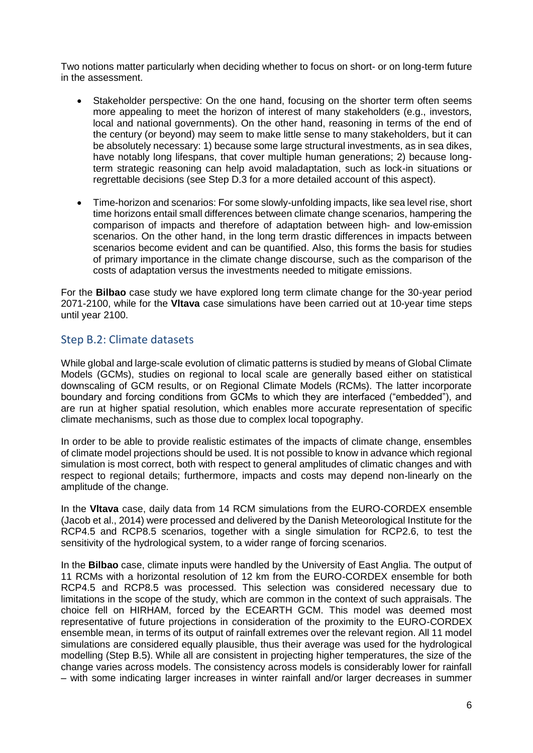Two notions matter particularly when deciding whether to focus on short- or on long-term future in the assessment.

- Stakeholder perspective: On the one hand, focusing on the shorter term often seems more appealing to meet the horizon of interest of many stakeholders (e.g., investors, local and national governments). On the other hand, reasoning in terms of the end of the century (or beyond) may seem to make little sense to many stakeholders, but it can be absolutely necessary: 1) because some large structural investments, as in sea dikes, have notably long lifespans, that cover multiple human generations; 2) because longterm strategic reasoning can help avoid maladaptation, such as lock-in situations or regrettable decisions (see Step D.3 for a more detailed account of this aspect).
- Time-horizon and scenarios: For some slowly-unfolding impacts, like sea level rise, short time horizons entail small differences between climate change scenarios, hampering the comparison of impacts and therefore of adaptation between high- and low-emission scenarios. On the other hand, in the long term drastic differences in impacts between scenarios become evident and can be quantified. Also, this forms the basis for studies of primary importance in the climate change discourse, such as the comparison of the costs of adaptation versus the investments needed to mitigate emissions.

For the **Bilbao** case study we have explored long term climate change for the 30-year period 2071-2100, while for the **Vltava** case simulations have been carried out at 10-year time steps until year 2100.

#### Step B.2: Climate datasets

While global and large-scale evolution of climatic patterns is studied by means of Global Climate Models (GCMs), studies on regional to local scale are generally based either on statistical downscaling of GCM results, or on Regional Climate Models (RCMs). The latter incorporate boundary and forcing conditions from GCMs to which they are interfaced ("embedded"), and are run at higher spatial resolution, which enables more accurate representation of specific climate mechanisms, such as those due to complex local topography.

In order to be able to provide realistic estimates of the impacts of climate change, ensembles of climate model projections should be used. It is not possible to know in advance which regional simulation is most correct, both with respect to general amplitudes of climatic changes and with respect to regional details; furthermore, impacts and costs may depend non-linearly on the amplitude of the change.

In the **Vltava** case, daily data from 14 RCM simulations from the EURO-CORDEX ensemble (Jacob et al., 2014) were processed and delivered by the Danish Meteorological Institute for the RCP4.5 and RCP8.5 scenarios, together with a single simulation for RCP2.6, to test the sensitivity of the hydrological system, to a wider range of forcing scenarios.

In the **Bilbao** case, climate inputs were handled by the University of East Anglia. The output of 11 RCMs with a horizontal resolution of 12 km from the EURO-CORDEX ensemble for both RCP4.5 and RCP8.5 was processed. This selection was considered necessary due to limitations in the scope of the study, which are common in the context of such appraisals. The choice fell on HIRHAM, forced by the ECEARTH GCM. This model was deemed most representative of future projections in consideration of the proximity to the EURO-CORDEX ensemble mean, in terms of its output of rainfall extremes over the relevant region. All 11 model simulations are considered equally plausible, thus their average was used for the hydrological modelling (Step B.5). While all are consistent in projecting higher temperatures, the size of the change varies across models. The consistency across models is considerably lower for rainfall – with some indicating larger increases in winter rainfall and/or larger decreases in summer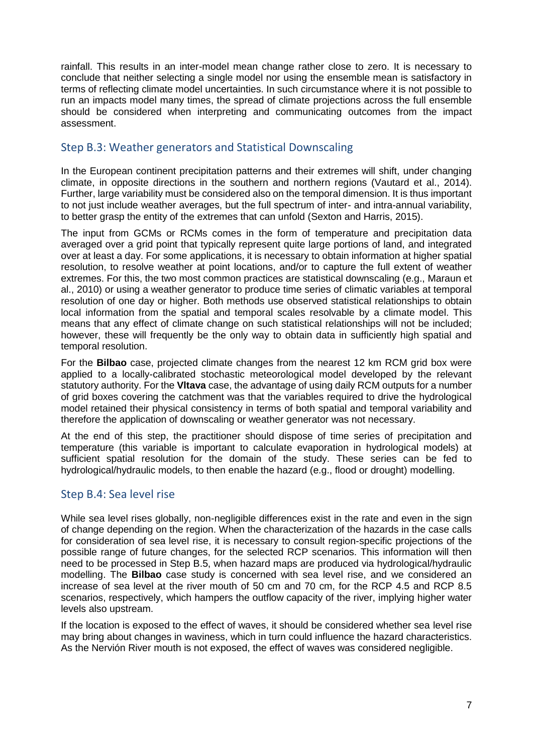rainfall. This results in an inter-model mean change rather close to zero. It is necessary to conclude that neither selecting a single model nor using the ensemble mean is satisfactory in terms of reflecting climate model uncertainties. In such circumstance where it is not possible to run an impacts model many times, the spread of climate projections across the full ensemble should be considered when interpreting and communicating outcomes from the impact assessment.

#### Step B.3: Weather generators and Statistical Downscaling

In the European continent precipitation patterns and their extremes will shift, under changing climate, in opposite directions in the southern and northern regions (Vautard et al., 2014). Further, large variability must be considered also on the temporal dimension. It is thus important to not just include weather averages, but the full spectrum of inter- and intra-annual variability, to better grasp the entity of the extremes that can unfold (Sexton and Harris, 2015).

The input from GCMs or RCMs comes in the form of temperature and precipitation data averaged over a grid point that typically represent quite large portions of land, and integrated over at least a day. For some applications, it is necessary to obtain information at higher spatial resolution, to resolve weather at point locations, and/or to capture the full extent of weather extremes. For this, the two most common practices are statistical downscaling (e.g., Maraun et al., 2010) or using a weather generator to produce time series of climatic variables at temporal resolution of one day or higher. Both methods use observed statistical relationships to obtain local information from the spatial and temporal scales resolvable by a climate model. This means that any effect of climate change on such statistical relationships will not be included; however, these will frequently be the only way to obtain data in sufficiently high spatial and temporal resolution.

For the **Bilbao** case, projected climate changes from the nearest 12 km RCM grid box were applied to a locally-calibrated stochastic meteorological model developed by the relevant statutory authority. For the **Vltava** case, the advantage of using daily RCM outputs for a number of grid boxes covering the catchment was that the variables required to drive the hydrological model retained their physical consistency in terms of both spatial and temporal variability and therefore the application of downscaling or weather generator was not necessary.

At the end of this step, the practitioner should dispose of time series of precipitation and temperature (this variable is important to calculate evaporation in hydrological models) at sufficient spatial resolution for the domain of the study. These series can be fed to hydrological/hydraulic models, to then enable the hazard (e.g., flood or drought) modelling.

#### Step B.4: Sea level rise

While sea level rises globally, non-negligible differences exist in the rate and even in the sign of change depending on the region. When the characterization of the hazards in the case calls for consideration of sea level rise, it is necessary to consult region-specific projections of the possible range of future changes, for the selected RCP scenarios. This information will then need to be processed in Step B.5, when hazard maps are produced via hydrological/hydraulic modelling. The **Bilbao** case study is concerned with sea level rise, and we considered an increase of sea level at the river mouth of 50 cm and 70 cm, for the RCP 4.5 and RCP 8.5 scenarios, respectively, which hampers the outflow capacity of the river, implying higher water levels also upstream.

If the location is exposed to the effect of waves, it should be considered whether sea level rise may bring about changes in waviness, which in turn could influence the hazard characteristics. As the Nervión River mouth is not exposed, the effect of waves was considered negligible.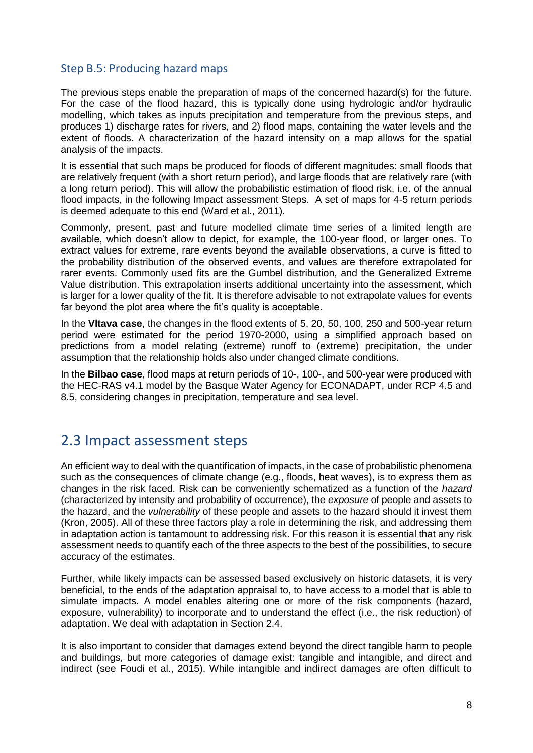#### Step B.5: Producing hazard maps

The previous steps enable the preparation of maps of the concerned hazard(s) for the future. For the case of the flood hazard, this is typically done using hydrologic and/or hydraulic modelling, which takes as inputs precipitation and temperature from the previous steps, and produces 1) discharge rates for rivers, and 2) flood maps, containing the water levels and the extent of floods. A characterization of the hazard intensity on a map allows for the spatial analysis of the impacts.

It is essential that such maps be produced for floods of different magnitudes: small floods that are relatively frequent (with a short return period), and large floods that are relatively rare (with a long return period). This will allow the probabilistic estimation of flood risk, i.e. of the annual flood impacts, in the following Impact assessment Steps. A set of maps for 4-5 return periods is deemed adequate to this end (Ward et al., 2011).

Commonly, present, past and future modelled climate time series of a limited length are available, which doesn't allow to depict, for example, the 100-year flood, or larger ones. To extract values for extreme, rare events beyond the available observations, a curve is fitted to the probability distribution of the observed events, and values are therefore extrapolated for rarer events. Commonly used fits are the Gumbel distribution, and the Generalized Extreme Value distribution. This extrapolation inserts additional uncertainty into the assessment, which is larger for a lower quality of the fit. It is therefore advisable to not extrapolate values for events far beyond the plot area where the fit's quality is acceptable.

In the **Vltava case**, the changes in the flood extents of 5, 20, 50, 100, 250 and 500-year return period were estimated for the period 1970-2000, using a simplified approach based on predictions from a model relating (extreme) runoff to (extreme) precipitation, the under assumption that the relationship holds also under changed climate conditions.

In the **Bilbao case**, flood maps at return periods of 10-, 100-, and 500-year were produced with the HEC-RAS v4.1 model by the Basque Water Agency for ECONADAPT, under RCP 4.5 and 8.5, considering changes in precipitation, temperature and sea level.

### <span id="page-11-0"></span>2.3 Impact assessment steps

An efficient way to deal with the quantification of impacts, in the case of probabilistic phenomena such as the consequences of climate change (e.g., floods, heat waves), is to express them as changes in the risk faced. Risk can be conveniently schematized as a function of the *hazard* (characterized by intensity and probability of occurrence), the *exposure* of people and assets to the hazard, and the *vulnerability* of these people and assets to the hazard should it invest them (Kron, 2005). All of these three factors play a role in determining the risk, and addressing them in adaptation action is tantamount to addressing risk. For this reason it is essential that any risk assessment needs to quantify each of the three aspects to the best of the possibilities, to secure accuracy of the estimates.

Further, while likely impacts can be assessed based exclusively on historic datasets, it is very beneficial, to the ends of the adaptation appraisal to, to have access to a model that is able to simulate impacts. A model enables altering one or more of the risk components (hazard, exposure, vulnerability) to incorporate and to understand the effect (i.e., the risk reduction) of adaptation. We deal with adaptation in Section 2.4.

It is also important to consider that damages extend beyond the direct tangible harm to people and buildings, but more categories of damage exist: tangible and intangible, and direct and indirect (see Foudi et al., 2015). While intangible and indirect damages are often difficult to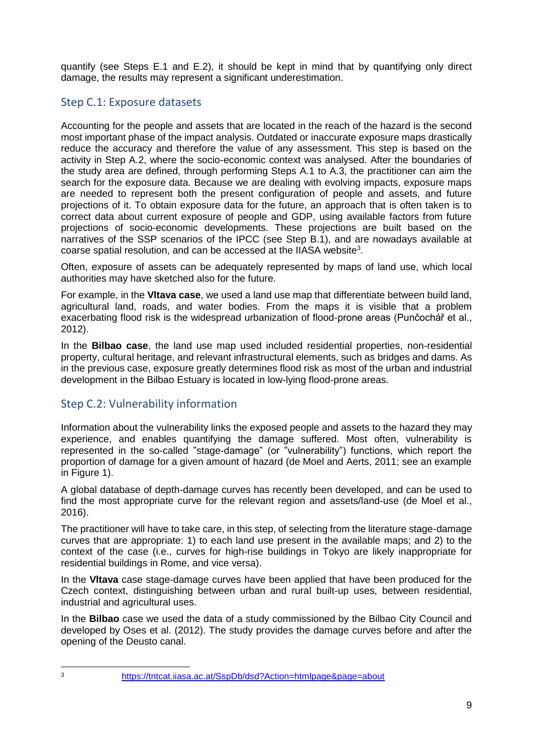quantify (see Steps E.1 and E.2), it should be kept in mind that by quantifying only direct damage, the results may represent a significant underestimation.

#### Step C.1: Exposure datasets

Accounting for the people and assets that are located in the reach of the hazard is the second most important phase of the impact analysis. Outdated or inaccurate exposure maps drastically reduce the accuracy and therefore the value of any assessment. This step is based on the activity in Step A.2, where the socio-economic context was analysed. After the boundaries of the study area are defined, through performing Steps A.1 to A.3, the practitioner can aim the search for the exposure data. Because we are dealing with evolving impacts, exposure maps are needed to represent both the present configuration of people and assets, and future projections of it. To obtain exposure data for the future, an approach that is often taken is to correct data about current exposure of people and GDP, using available factors from future projections of socio-economic developments. These projections are built based on the narratives of the SSP scenarios of the IPCC (see Step B.1), and are nowadays available at coarse spatial resolution, and can be accessed at the IIASA website<sup>3</sup>.

Often, exposure of assets can be adequately represented by maps of land use, which local authorities may have sketched also for the future.

For example, in the **Vltava case**, we used a land use map that differentiate between build land, agricultural land, roads, and water bodies. From the maps it is visible that a problem exacerbating flood risk is the widespread urbanization of flood-prone areas (Punčochář et al., 2012).

In the **Bilbao case**, the land use map used included residential properties, non-residential property, cultural heritage, and relevant infrastructural elements, such as bridges and dams. As in the previous case, exposure greatly determines flood risk as most of the urban and industrial development in the Bilbao Estuary is located in low-lying flood-prone areas.

#### Step C.2: Vulnerability information

Information about the vulnerability links the exposed people and assets to the hazard they may experience, and enables quantifying the damage suffered. Most often, vulnerability is represented in the so-called "stage-damage" (or "vulnerability") functions, which report the proportion of damage for a given amount of hazard (de Moel and Aerts, 2011; see an example in Figure 1).

A global database of depth-damage curves has recently been developed, and can be used to find the most appropriate curve for the relevant region and assets/land-use (de Moel et al., 2016).

The practitioner will have to take care, in this step, of selecting from the literature stage-damage curves that are appropriate: 1) to each land use present in the available maps; and 2) to the context of the case (i.e., curves for high-rise buildings in Tokyo are likely inappropriate for residential buildings in Rome, and vice versa).

In the **Vltava** case stage-damage curves have been applied that have been produced for the Czech context, distinguishing between urban and rural built-up uses, between residential, industrial and agricultural uses.

In the **Bilbao** case we used the data of a study commissioned by the Bilbao City Council and developed by Oses et al. (2012). The study provides the damage curves before and after the opening of the Deusto canal.

 $\overline{a}$ 

<sup>3</sup> <https://tntcat.iiasa.ac.at/SspDb/dsd?Action=htmlpage&page=about>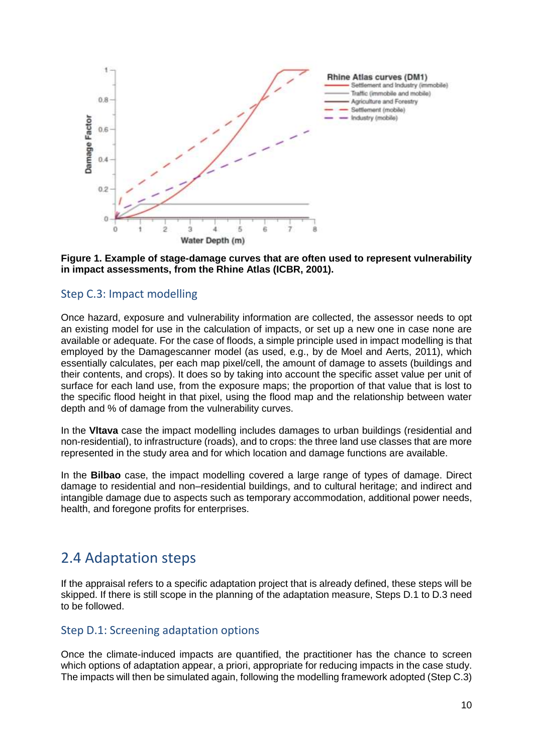

#### **Figure 1. Example of stage-damage curves that are often used to represent vulnerability in impact assessments, from the Rhine Atlas (ICBR, 2001).**

#### Step C.3: Impact modelling

Once hazard, exposure and vulnerability information are collected, the assessor needs to opt an existing model for use in the calculation of impacts, or set up a new one in case none are available or adequate. For the case of floods, a simple principle used in impact modelling is that employed by the Damagescanner model (as used, e.g., by de Moel and Aerts, 2011), which essentially calculates, per each map pixel/cell, the amount of damage to assets (buildings and their contents, and crops). It does so by taking into account the specific asset value per unit of surface for each land use, from the exposure maps; the proportion of that value that is lost to the specific flood height in that pixel, using the flood map and the relationship between water depth and % of damage from the vulnerability curves.

In the **Vltava** case the impact modelling includes damages to urban buildings (residential and non-residential), to infrastructure (roads), and to crops: the three land use classes that are more represented in the study area and for which location and damage functions are available.

In the **Bilbao** case, the impact modelling covered a large range of types of damage. Direct damage to residential and non–residential buildings, and to cultural heritage; and indirect and intangible damage due to aspects such as temporary accommodation, additional power needs, health, and foregone profits for enterprises.

### <span id="page-13-0"></span>2.4 Adaptation steps

If the appraisal refers to a specific adaptation project that is already defined, these steps will be skipped. If there is still scope in the planning of the adaptation measure, Steps D.1 to D.3 need to be followed.

#### Step D.1: Screening adaptation options

Once the climate-induced impacts are quantified, the practitioner has the chance to screen which options of adaptation appear, a priori, appropriate for reducing impacts in the case study. The impacts will then be simulated again, following the modelling framework adopted (Step C.3)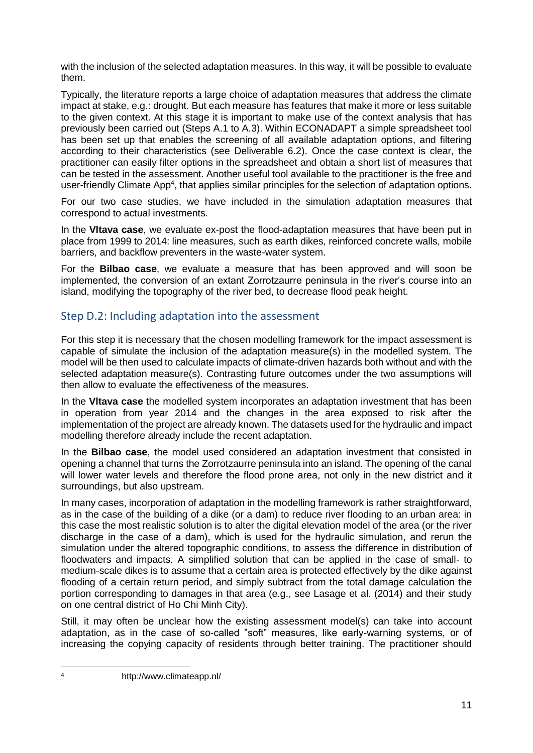with the inclusion of the selected adaptation measures. In this way, it will be possible to evaluate them.

Typically, the literature reports a large choice of adaptation measures that address the climate impact at stake, e.g.: drought. But each measure has features that make it more or less suitable to the given context. At this stage it is important to make use of the context analysis that has previously been carried out (Steps A.1 to A.3). Within ECONADAPT a simple spreadsheet tool has been set up that enables the screening of all available adaptation options, and filtering according to their characteristics (see Deliverable 6.2). Once the case context is clear, the practitioner can easily filter options in the spreadsheet and obtain a short list of measures that can be tested in the assessment. Another useful tool available to the practitioner is the free and user-friendly Climate App<sup>4</sup>, that applies similar principles for the selection of adaptation options.

For our two case studies, we have included in the simulation adaptation measures that correspond to actual investments.

In the **Vltava case**, we evaluate ex-post the flood-adaptation measures that have been put in place from 1999 to 2014: line measures, such as earth dikes, reinforced concrete walls, mobile barriers, and backflow preventers in the waste-water system.

For the **Bilbao case**, we evaluate a measure that has been approved and will soon be implemented, the conversion of an extant Zorrotzaurre peninsula in the river's course into an island, modifying the topography of the river bed, to decrease flood peak height.

#### Step D.2: Including adaptation into the assessment

For this step it is necessary that the chosen modelling framework for the impact assessment is capable of simulate the inclusion of the adaptation measure(s) in the modelled system. The model will be then used to calculate impacts of climate-driven hazards both without and with the selected adaptation measure(s). Contrasting future outcomes under the two assumptions will then allow to evaluate the effectiveness of the measures.

In the **Vltava case** the modelled system incorporates an adaptation investment that has been in operation from year 2014 and the changes in the area exposed to risk after the implementation of the project are already known. The datasets used for the hydraulic and impact modelling therefore already include the recent adaptation.

In the **Bilbao case**, the model used considered an adaptation investment that consisted in opening a channel that turns the Zorrotzaurre peninsula into an island. The opening of the canal will lower water levels and therefore the flood prone area, not only in the new district and it surroundings, but also upstream.

In many cases, incorporation of adaptation in the modelling framework is rather straightforward, as in the case of the building of a dike (or a dam) to reduce river flooding to an urban area: in this case the most realistic solution is to alter the digital elevation model of the area (or the river discharge in the case of a dam), which is used for the hydraulic simulation, and rerun the simulation under the altered topographic conditions, to assess the difference in distribution of floodwaters and impacts. A simplified solution that can be applied in the case of small- to medium-scale dikes is to assume that a certain area is protected effectively by the dike against flooding of a certain return period, and simply subtract from the total damage calculation the portion corresponding to damages in that area (e.g., see Lasage et al. (2014) and their study on one central district of Ho Chi Minh City).

Still, it may often be unclear how the existing assessment model(s) can take into account adaptation, as in the case of so-called "soft" measures, like early-warning systems, or of increasing the copying capacity of residents through better training. The practitioner should

 $\overline{A}$ 

<sup>4</sup> http://www.climateapp.nl/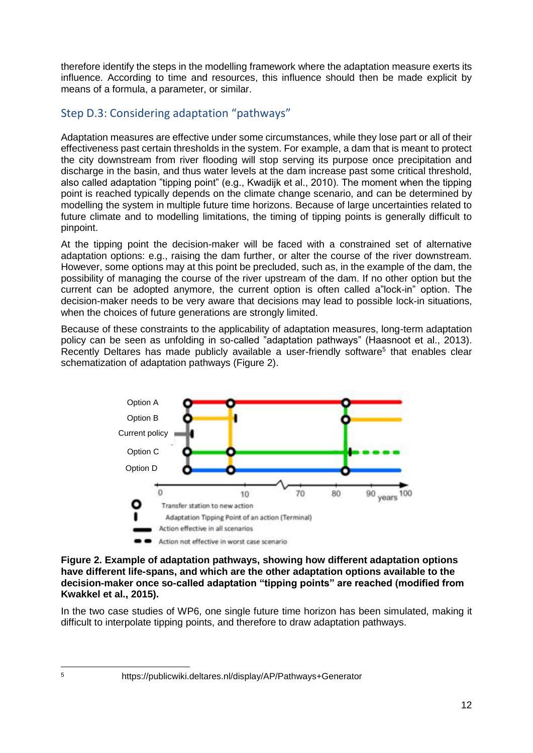therefore identify the steps in the modelling framework where the adaptation measure exerts its influence. According to time and resources, this influence should then be made explicit by means of a formula, a parameter, or similar.

#### Step D.3: Considering adaptation "pathways"

Adaptation measures are effective under some circumstances, while they lose part or all of their effectiveness past certain thresholds in the system. For example, a dam that is meant to protect the city downstream from river flooding will stop serving its purpose once precipitation and discharge in the basin, and thus water levels at the dam increase past some critical threshold, also called adaptation "tipping point" (e.g., Kwadijk et al., 2010). The moment when the tipping point is reached typically depends on the climate change scenario, and can be determined by modelling the system in multiple future time horizons. Because of large uncertainties related to future climate and to modelling limitations, the timing of tipping points is generally difficult to pinpoint.

At the tipping point the decision-maker will be faced with a constrained set of alternative adaptation options: e.g., raising the dam further, or alter the course of the river downstream. However, some options may at this point be precluded, such as, in the example of the dam, the possibility of managing the course of the river upstream of the dam. If no other option but the current can be adopted anymore, the current option is often called a"lock-in" option. The decision-maker needs to be very aware that decisions may lead to possible lock-in situations, when the choices of future generations are strongly limited.

Because of these constraints to the applicability of adaptation measures, long-term adaptation policy can be seen as unfolding in so-called "adaptation pathways" (Haasnoot et al., 2013). Recently Deltares has made publicly available a user-friendly software<sup>5</sup> that enables clear schematization of adaptation pathways (Figure 2).



#### **Figure 2. Example of adaptation pathways, showing how different adaptation options have different life-spans, and which are the other adaptation options available to the decision-maker once so-called adaptation "tipping points" are reached (modified from Kwakkel et al., 2015).**

In the two case studies of WP6, one single future time horizon has been simulated, making it difficult to interpolate tipping points, and therefore to draw adaptation pathways.

<sup>5</sup> https://publicwiki.deltares.nl/display/AP/Pathways+Generator

 $\overline{a}$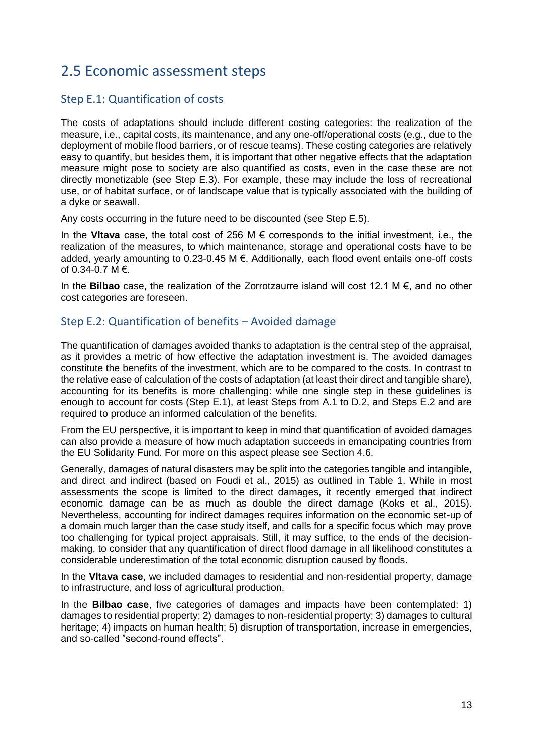### <span id="page-16-0"></span>2.5 Economic assessment steps

#### Step E.1: Quantification of costs

The costs of adaptations should include different costing categories: the realization of the measure, i.e., capital costs, its maintenance, and any one-off/operational costs (e.g., due to the deployment of mobile flood barriers, or of rescue teams). These costing categories are relatively easy to quantify, but besides them, it is important that other negative effects that the adaptation measure might pose to society are also quantified as costs, even in the case these are not directly monetizable (see Step E.3). For example, these may include the loss of recreational use, or of habitat surface, or of landscape value that is typically associated with the building of a dyke or seawall.

Any costs occurring in the future need to be discounted (see Step E.5).

In the **Vltava** case, the total cost of 256 M € corresponds to the initial investment, i.e., the realization of the measures, to which maintenance, storage and operational costs have to be added, yearly amounting to 0.23-0.45 M €. Additionally, each flood event entails one-off costs of 0.34-0.7  $M \in$ .

In the **Bilbao** case, the realization of the Zorrotzaurre island will cost 12.1 M €, and no other cost categories are foreseen.

#### Step E.2: Quantification of benefits – Avoided damage

The quantification of damages avoided thanks to adaptation is the central step of the appraisal, as it provides a metric of how effective the adaptation investment is. The avoided damages constitute the benefits of the investment, which are to be compared to the costs. In contrast to the relative ease of calculation of the costs of adaptation (at least their direct and tangible share), accounting for its benefits is more challenging: while one single step in these guidelines is enough to account for costs (Step E.1), at least Steps from A.1 to D.2, and Steps E.2 and are required to produce an informed calculation of the benefits.

From the EU perspective, it is important to keep in mind that quantification of avoided damages can also provide a measure of how much adaptation succeeds in emancipating countries from the EU Solidarity Fund. For more on this aspect please see Section 4.6.

Generally, damages of natural disasters may be split into the categories tangible and intangible, and direct and indirect (based on Foudi et al., 2015) as outlined in Table 1. While in most assessments the scope is limited to the direct damages, it recently emerged that indirect economic damage can be as much as double the direct damage (Koks et al., 2015). Nevertheless, accounting for indirect damages requires information on the economic set-up of a domain much larger than the case study itself, and calls for a specific focus which may prove too challenging for typical project appraisals. Still, it may suffice, to the ends of the decisionmaking, to consider that any quantification of direct flood damage in all likelihood constitutes a considerable underestimation of the total economic disruption caused by floods.

In the **Vltava case**, we included damages to residential and non-residential property, damage to infrastructure, and loss of agricultural production.

In the **Bilbao case**, five categories of damages and impacts have been contemplated: 1) damages to residential property; 2) damages to non-residential property; 3) damages to cultural heritage; 4) impacts on human health; 5) disruption of transportation, increase in emergencies, and so-called "second-round effects".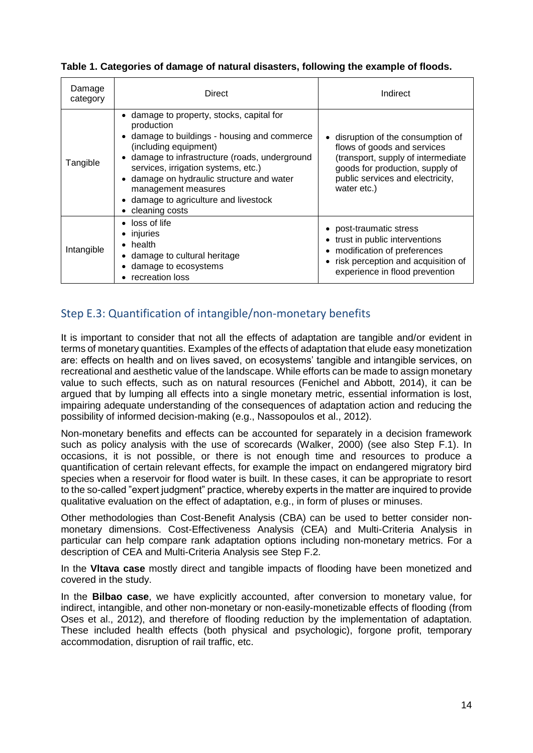**Table 1. Categories of damage of natural disasters, following the example of floods.**

| Damage<br>category | Direct                                                                                                                                                                                                                                                                                                                                             | Indirect                                                                                                                                                                                    |  |
|--------------------|----------------------------------------------------------------------------------------------------------------------------------------------------------------------------------------------------------------------------------------------------------------------------------------------------------------------------------------------------|---------------------------------------------------------------------------------------------------------------------------------------------------------------------------------------------|--|
| Tangible           | damage to property, stocks, capital for<br>production<br>• damage to buildings - housing and commerce<br>(including equipment)<br>damage to infrastructure (roads, underground<br>services, irrigation systems, etc.)<br>damage on hydraulic structure and water<br>management measures<br>• damage to agriculture and livestock<br>cleaning costs | disruption of the consumption of<br>flows of goods and services<br>(transport, supply of intermediate<br>goods for production, supply of<br>public services and electricity,<br>water etc.) |  |
| Intangible         | • loss of life<br>• injuries<br>$\bullet$ health<br>• damage to cultural heritage<br>damage to ecosystems<br>• recreation loss                                                                                                                                                                                                                     | • post-traumatic stress<br>• trust in public interventions<br>modification of preferences<br>risk perception and acquisition of<br>experience in flood prevention                           |  |

#### Step E.3: Quantification of intangible/non-monetary benefits

It is important to consider that not all the effects of adaptation are tangible and/or evident in terms of monetary quantities. Examples of the effects of adaptation that elude easy monetization are: effects on health and on lives saved, on ecosystems' tangible and intangible services, on recreational and aesthetic value of the landscape. While efforts can be made to assign monetary value to such effects, such as on natural resources (Fenichel and Abbott, 2014), it can be argued that by lumping all effects into a single monetary metric, essential information is lost, impairing adequate understanding of the consequences of adaptation action and reducing the possibility of informed decision-making (e.g., Nassopoulos et al., 2012).

Non-monetary benefits and effects can be accounted for separately in a decision framework such as policy analysis with the use of scorecards (Walker, 2000) (see also Step F.1). In occasions, it is not possible, or there is not enough time and resources to produce a quantification of certain relevant effects, for example the impact on endangered migratory bird species when a reservoir for flood water is built. In these cases, it can be appropriate to resort to the so-called "expert judgment" practice, whereby experts in the matter are inquired to provide qualitative evaluation on the effect of adaptation, e.g., in form of pluses or minuses.

Other methodologies than Cost-Benefit Analysis (CBA) can be used to better consider nonmonetary dimensions. Cost-Effectiveness Analysis (CEA) and Multi-Criteria Analysis in particular can help compare rank adaptation options including non-monetary metrics. For a description of CEA and Multi-Criteria Analysis see Step F.2.

In the **Vltava case** mostly direct and tangible impacts of flooding have been monetized and covered in the study.

In the **Bilbao case**, we have explicitly accounted, after conversion to monetary value, for indirect, intangible, and other non-monetary or non-easily-monetizable effects of flooding (from Oses et al., 2012), and therefore of flooding reduction by the implementation of adaptation. These included health effects (both physical and psychologic), forgone profit, temporary accommodation, disruption of rail traffic, etc.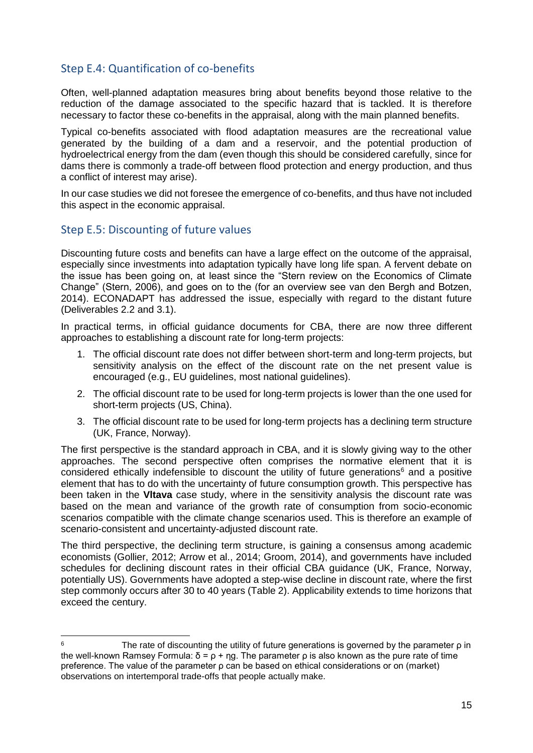#### Step E.4: Quantification of co-benefits

Often, well-planned adaptation measures bring about benefits beyond those relative to the reduction of the damage associated to the specific hazard that is tackled. It is therefore necessary to factor these co-benefits in the appraisal, along with the main planned benefits.

Typical co-benefits associated with flood adaptation measures are the recreational value generated by the building of a dam and a reservoir, and the potential production of hydroelectrical energy from the dam (even though this should be considered carefully, since for dams there is commonly a trade-off between flood protection and energy production, and thus a conflict of interest may arise).

In our case studies we did not foresee the emergence of co-benefits, and thus have not included this aspect in the economic appraisal.

#### Step E.5: Discounting of future values

Discounting future costs and benefits can have a large effect on the outcome of the appraisal, especially since investments into adaptation typically have long life span. A fervent debate on the issue has been going on, at least since the "Stern review on the Economics of Climate Change" (Stern, 2006), and goes on to the (for an overview see van den Bergh and Botzen, 2014). ECONADAPT has addressed the issue, especially with regard to the distant future (Deliverables 2.2 and 3.1).

In practical terms, in official guidance documents for CBA, there are now three different approaches to establishing a discount rate for long-term projects:

- 1. The official discount rate does not differ between short-term and long-term projects, but sensitivity analysis on the effect of the discount rate on the net present value is encouraged (e.g., EU guidelines, most national guidelines).
- 2. The official discount rate to be used for long-term projects is lower than the one used for short-term projects (US, China).
- 3. The official discount rate to be used for long-term projects has a declining term structure (UK, France, Norway).

The first perspective is the standard approach in CBA, and it is slowly giving way to the other approaches. The second perspective often comprises the normative element that it is considered ethically indefensible to discount the utility of future generations $6$  and a positive element that has to do with the uncertainty of future consumption growth. This perspective has been taken in the **Vltava** case study, where in the sensitivity analysis the discount rate was based on the mean and variance of the growth rate of consumption from socio-economic scenarios compatible with the climate change scenarios used. This is therefore an example of scenario-consistent and uncertainty-adjusted discount rate.

The third perspective, the declining term structure, is gaining a consensus among academic economists (Gollier, 2012; Arrow et al., 2014; Groom, 2014), and governments have included schedules for declining discount rates in their official CBA guidance (UK, France, Norway, potentially US). Governments have adopted a step-wise decline in discount rate, where the first step commonly occurs after 30 to 40 years (Table 2). Applicability extends to time horizons that exceed the century.

 $6 \overline{6}$ The rate of discounting the utility of future generations is governed by the parameter  $\rho$  in the well-known Ramsey Formula:  $\delta = \rho + \eta g$ . The parameter  $\rho$  is also known as the pure rate of time preference. The value of the parameter ρ can be based on ethical considerations or on (market) observations on intertemporal trade-offs that people actually make.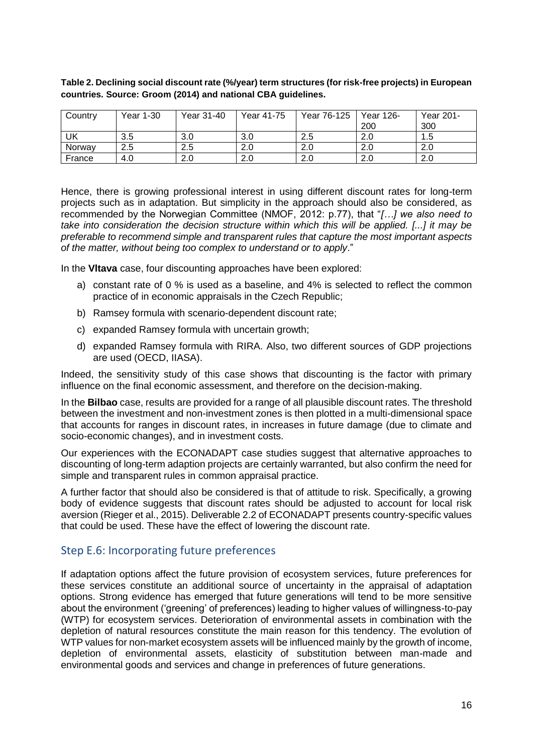| Table 2. Declining social discount rate (%/year) term structures (for risk-free projects) in European |
|-------------------------------------------------------------------------------------------------------|
| countries. Source: Groom (2014) and national CBA guidelines.                                          |

| Country | Year 1-30 | Year 31-40 | Year 41-75 | Year 76-125 | Year 126- | Year 201- |
|---------|-----------|------------|------------|-------------|-----------|-----------|
|         |           |            |            |             | 200       | 300       |
| UK      | 3.5       | 3.0        | 3.0        | 2.5         | 2.0       | 1.5       |
| Norway  | 2.5       | 2.5        | 2.0        | 2.0         | 2.0       | 2.0       |
| France  | 4.0       | 2.0        | 2.0        | 2.0         | 2.0       | 2.0       |

Hence, there is growing professional interest in using different discount rates for long-term projects such as in adaptation. But simplicity in the approach should also be considered, as recommended by the Norwegian Committee (NMOF, 2012: p.77), that "*[…] we also need to take into consideration the decision structure within which this will be applied. [...] it may be preferable to recommend simple and transparent rules that capture the most important aspects of the matter, without being too complex to understand or to apply*."

In the **Vltava** case, four discounting approaches have been explored:

- a) constant rate of 0 % is used as a baseline, and 4% is selected to reflect the common practice of in economic appraisals in the Czech Republic;
- b) Ramsey formula with scenario-dependent discount rate;
- c) expanded Ramsey formula with uncertain growth;
- d) expanded Ramsey formula with RIRA. Also, two different sources of GDP projections are used (OECD, IIASA).

Indeed, the sensitivity study of this case shows that discounting is the factor with primary influence on the final economic assessment, and therefore on the decision-making.

In the **Bilbao** case, results are provided for a range of all plausible discount rates. The threshold between the investment and non-investment zones is then plotted in a multi-dimensional space that accounts for ranges in discount rates, in increases in future damage (due to climate and socio-economic changes), and in investment costs.

Our experiences with the ECONADAPT case studies suggest that alternative approaches to discounting of long-term adaption projects are certainly warranted, but also confirm the need for simple and transparent rules in common appraisal practice.

A further factor that should also be considered is that of attitude to risk. Specifically, a growing body of evidence suggests that discount rates should be adjusted to account for local risk aversion (Rieger et al., 2015). Deliverable 2.2 of ECONADAPT presents country-specific values that could be used. These have the effect of lowering the discount rate.

#### Step E.6: Incorporating future preferences

If adaptation options affect the future provision of ecosystem services, future preferences for these services constitute an additional source of uncertainty in the appraisal of adaptation options. Strong evidence has emerged that future generations will tend to be more sensitive about the environment ('greening' of preferences) leading to higher values of willingness-to-pay (WTP) for ecosystem services. Deterioration of environmental assets in combination with the depletion of natural resources constitute the main reason for this tendency. The evolution of WTP values for non-market ecosystem assets will be influenced mainly by the growth of income, depletion of environmental assets, elasticity of substitution between man-made and environmental goods and services and change in preferences of future generations.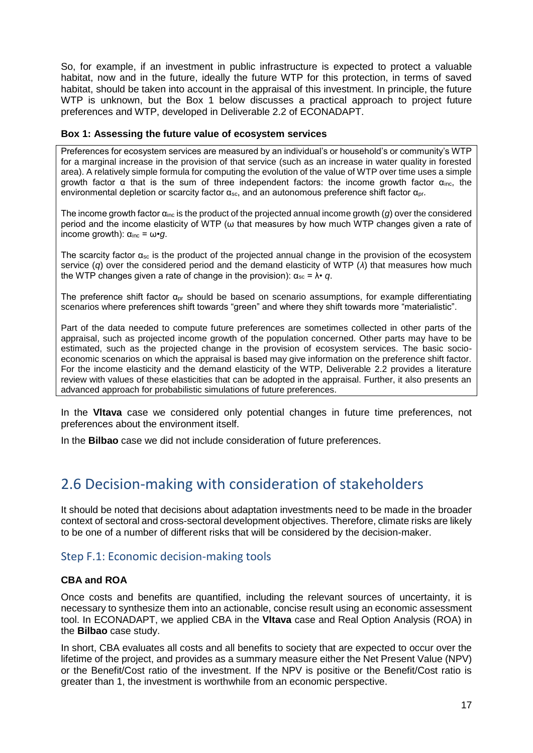So, for example, if an investment in public infrastructure is expected to protect a valuable habitat, now and in the future, ideally the future WTP for this protection, in terms of saved habitat, should be taken into account in the appraisal of this investment. In principle, the future WTP is unknown, but the Box 1 below discusses a practical approach to project future preferences and WTP, developed in Deliverable 2.2 of ECONADAPT.

#### **Box 1: Assessing the future value of ecosystem services**

Preferences for ecosystem services are measured by an individual's or household's or community's WTP for a marginal increase in the provision of that service (such as an increase in water quality in forested area). A relatively simple formula for computing the evolution of the value of WTP over time uses a simple growth factor α that is the sum of three independent factors: the income growth factor αinc, the environmental depletion or scarcity factor  $\alpha_{\rm sc}$ , and an autonomous preference shift factor  $\alpha_{\rm br}$ .

The income growth factor α<sub>inc</sub> is the product of the projected annual income growth (*q*) over the considered period and the income elasticity of WTP (ω that measures by how much WTP changes given a rate of income growth):  $\alpha_{\text{inc}} = \omega \cdot q$ .

The scarcity factor  $\alpha_{sc}$  is the product of the projected annual change in the provision of the ecosystem service (*q*) over the considered period and the demand elasticity of WTP (*λ*) that measures how much the WTP changes given a rate of change in the provision):  $\alpha_{sc} = \lambda \cdot q$ .

The preference shift factor  $\alpha_{pr}$  should be based on scenario assumptions, for example differentiating scenarios where preferences shift towards "green" and where they shift towards more "materialistic".

Part of the data needed to compute future preferences are sometimes collected in other parts of the appraisal, such as projected income growth of the population concerned. Other parts may have to be estimated, such as the projected change in the provision of ecosystem services. The basic socioeconomic scenarios on which the appraisal is based may give information on the preference shift factor. For the income elasticity and the demand elasticity of the WTP, Deliverable 2.2 provides a literature review with values of these elasticities that can be adopted in the appraisal. Further, it also presents an advanced approach for probabilistic simulations of future preferences.

In the **Vltava** case we considered only potential changes in future time preferences, not preferences about the environment itself.

In the **Bilbao** case we did not include consideration of future preferences.

### <span id="page-20-0"></span>2.6 Decision-making with consideration of stakeholders

It should be noted that decisions about adaptation investments need to be made in the broader context of sectoral and cross-sectoral development objectives. Therefore, climate risks are likely to be one of a number of different risks that will be considered by the decision-maker.

#### Step F.1: Economic decision-making tools

#### **CBA and ROA**

Once costs and benefits are quantified, including the relevant sources of uncertainty, it is necessary to synthesize them into an actionable, concise result using an economic assessment tool. In ECONADAPT, we applied CBA in the **Vltava** case and Real Option Analysis (ROA) in the **Bilbao** case study.

In short, CBA evaluates all costs and all benefits to society that are expected to occur over the lifetime of the project, and provides as a summary measure either the Net Present Value (NPV) or the Benefit/Cost ratio of the investment. If the NPV is positive or the Benefit/Cost ratio is greater than 1, the investment is worthwhile from an economic perspective.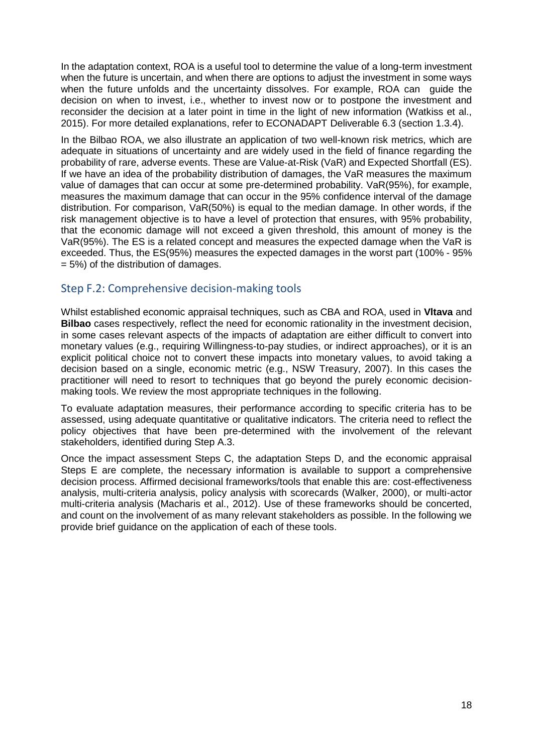In the adaptation context, ROA is a useful tool to determine the value of a long-term investment when the future is uncertain, and when there are options to adjust the investment in some ways when the future unfolds and the uncertainty dissolves. For example, ROA can guide the decision on when to invest, i.e., whether to invest now or to postpone the investment and reconsider the decision at a later point in time in the light of new information (Watkiss et al., 2015). For more detailed explanations, refer to ECONADAPT Deliverable 6.3 (section 1.3.4).

In the Bilbao ROA, we also illustrate an application of two well-known risk metrics, which are adequate in situations of uncertainty and are widely used in the field of finance regarding the probability of rare, adverse events. These are Value-at-Risk (VaR) and Expected Shortfall (ES). If we have an idea of the probability distribution of damages, the VaR measures the maximum value of damages that can occur at some pre-determined probability. VaR(95%), for example, measures the maximum damage that can occur in the 95% confidence interval of the damage distribution. For comparison, VaR(50%) is equal to the median damage. In other words, if the risk management objective is to have a level of protection that ensures, with 95% probability, that the economic damage will not exceed a given threshold, this amount of money is the VaR(95%). The ES is a related concept and measures the expected damage when the VaR is exceeded. Thus, the ES(95%) measures the expected damages in the worst part (100% - 95% = 5%) of the distribution of damages.

#### Step F.2: Comprehensive decision-making tools

Whilst established economic appraisal techniques, such as CBA and ROA, used in **Vltava** and **Bilbao** cases respectively, reflect the need for economic rationality in the investment decision, in some cases relevant aspects of the impacts of adaptation are either difficult to convert into monetary values (e.g., requiring Willingness-to-pay studies, or indirect approaches), or it is an explicit political choice not to convert these impacts into monetary values, to avoid taking a decision based on a single, economic metric (e.g., NSW Treasury, 2007). In this cases the practitioner will need to resort to techniques that go beyond the purely economic decisionmaking tools. We review the most appropriate techniques in the following.

To evaluate adaptation measures, their performance according to specific criteria has to be assessed, using adequate quantitative or qualitative indicators. The criteria need to reflect the policy objectives that have been pre-determined with the involvement of the relevant stakeholders, identified during Step A.3.

Once the impact assessment Steps C, the adaptation Steps D, and the economic appraisal Steps E are complete, the necessary information is available to support a comprehensive decision process. Affirmed decisional frameworks/tools that enable this are: cost-effectiveness analysis, multi-criteria analysis, policy analysis with scorecards (Walker, 2000), or multi-actor multi-criteria analysis (Macharis et al., 2012). Use of these frameworks should be concerted, and count on the involvement of as many relevant stakeholders as possible. In the following we provide brief guidance on the application of each of these tools.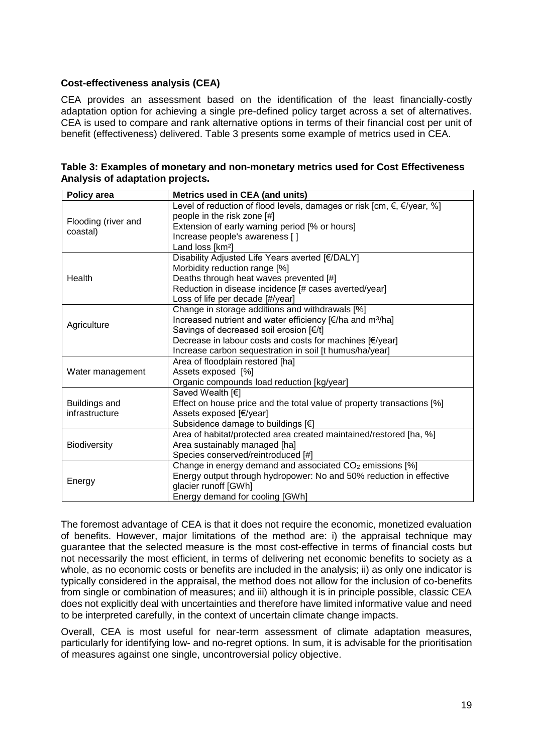#### **Cost-effectiveness analysis (CEA)**

CEA provides an assessment based on the identification of the least financially-costly adaptation option for achieving a single pre-defined policy target across a set of alternatives. CEA is used to compare and rank alternative options in terms of their financial cost per unit of benefit (effectiveness) delivered. Table 3 presents some example of metrics used in CEA.

| Policy area          | Metrics used in CEA (and units)                                                            |  |
|----------------------|--------------------------------------------------------------------------------------------|--|
|                      | Level of reduction of flood levels, damages or risk [cm, $\epsilon$ , $\epsilon$ /year, %] |  |
| Flooding (river and  | people in the risk zone [#]                                                                |  |
| coastal)             | Extension of early warning period [% or hours]                                             |  |
|                      | Increase people's awareness []                                                             |  |
|                      | Land loss [km <sup>2</sup> ]                                                               |  |
|                      | Disability Adjusted Life Years averted [€/DALY]                                            |  |
|                      | Morbidity reduction range [%]                                                              |  |
| Health               | Deaths through heat waves prevented [#]                                                    |  |
|                      | Reduction in disease incidence [# cases averted/year]                                      |  |
|                      | Loss of life per decade [#/year]                                                           |  |
|                      | Change in storage additions and withdrawals [%]                                            |  |
|                      | Increased nutrient and water efficiency [€/ha and m <sup>3</sup> /ha]                      |  |
| Agriculture          | Savings of decreased soil erosion [€/t]                                                    |  |
|                      | Decrease in labour costs and costs for machines [€/year]                                   |  |
|                      | Increase carbon sequestration in soil [t humus/ha/year]                                    |  |
|                      | Area of floodplain restored [ha]                                                           |  |
| Water management     | Assets exposed [%]                                                                         |  |
|                      | Organic compounds load reduction [kg/year]                                                 |  |
|                      | Saved Wealth [€]                                                                           |  |
| <b>Buildings and</b> | Effect on house price and the total value of property transactions [%]                     |  |
| infrastructure       | Assets exposed [€/year]                                                                    |  |
|                      | Subsidence damage to buildings [€]                                                         |  |
|                      | Area of habitat/protected area created maintained/restored [ha, %]                         |  |
| Biodiversity         | Area sustainably managed [ha]                                                              |  |
|                      | Species conserved/reintroduced [#]                                                         |  |
| Energy               | Change in energy demand and associated CO <sub>2</sub> emissions [%]                       |  |
|                      | Energy output through hydropower: No and 50% reduction in effective                        |  |
|                      | glacier runoff [GWh]                                                                       |  |
|                      | Energy demand for cooling [GWh]                                                            |  |

| Table 3: Examples of monetary and non-monetary metrics used for Cost Effectiveness |  |  |
|------------------------------------------------------------------------------------|--|--|
| Analysis of adaptation projects.                                                   |  |  |

The foremost advantage of CEA is that it does not require the economic, monetized evaluation of benefits. However, major limitations of the method are: i) the appraisal technique may guarantee that the selected measure is the most cost-effective in terms of financial costs but not necessarily the most efficient, in terms of delivering net economic benefits to society as a whole, as no economic costs or benefits are included in the analysis; ii) as only one indicator is typically considered in the appraisal, the method does not allow for the inclusion of co-benefits from single or combination of measures; and iii) although it is in principle possible, classic CEA does not explicitly deal with uncertainties and therefore have limited informative value and need to be interpreted carefully, in the context of uncertain climate change impacts.

Overall, CEA is most useful for near-term assessment of climate adaptation measures, particularly for identifying low- and no-regret options. In sum, it is advisable for the prioritisation of measures against one single, uncontroversial policy objective.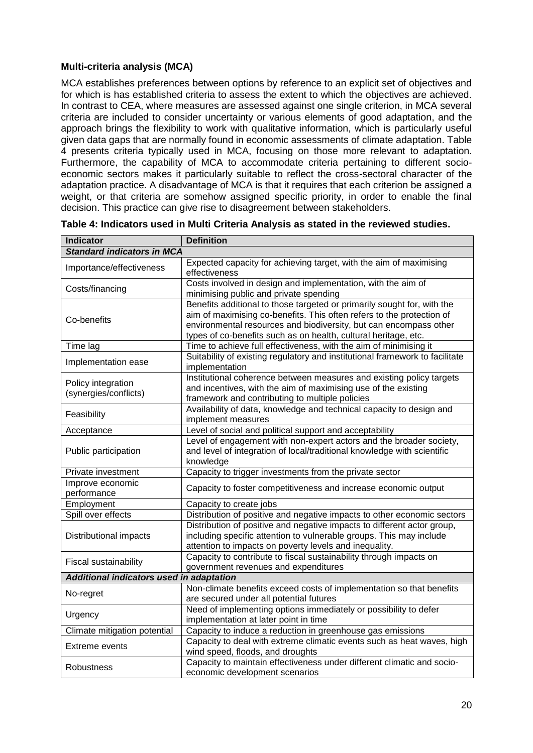#### **Multi-criteria analysis (MCA)**

MCA establishes preferences between options by reference to an explicit set of objectives and for which is has established criteria to assess the extent to which the objectives are achieved. In contrast to CEA, where measures are assessed against one single criterion, in MCA several criteria are included to consider uncertainty or various elements of good adaptation, and the approach brings the flexibility to work with qualitative information, which is particularly useful given data gaps that are normally found in economic assessments of climate adaptation. Table 4 presents criteria typically used in MCA, focusing on those more relevant to adaptation. Furthermore, the capability of MCA to accommodate criteria pertaining to different socioeconomic sectors makes it particularly suitable to reflect the cross-sectoral character of the adaptation practice. A disadvantage of MCA is that it requires that each criterion be assigned a weight, or that criteria are somehow assigned specific priority, in order to enable the final decision. This practice can give rise to disagreement between stakeholders.

| <b>Indicator</b>                                                                                                          | <b>Definition</b>                                                                                                                                                                                                                                                                        |
|---------------------------------------------------------------------------------------------------------------------------|------------------------------------------------------------------------------------------------------------------------------------------------------------------------------------------------------------------------------------------------------------------------------------------|
| <b>Standard indicators in MCA</b>                                                                                         |                                                                                                                                                                                                                                                                                          |
| Importance/effectiveness                                                                                                  | Expected capacity for achieving target, with the aim of maximising<br>effectiveness                                                                                                                                                                                                      |
| Costs involved in design and implementation, with the aim of<br>Costs/financing<br>minimising public and private spending |                                                                                                                                                                                                                                                                                          |
| Co-benefits                                                                                                               | Benefits additional to those targeted or primarily sought for, with the<br>aim of maximising co-benefits. This often refers to the protection of<br>environmental resources and biodiversity, but can encompass other<br>types of co-benefits such as on health, cultural heritage, etc. |
| Time lag                                                                                                                  | Time to achieve full effectiveness, with the aim of minimising it                                                                                                                                                                                                                        |
| Implementation ease                                                                                                       | Suitability of existing regulatory and institutional framework to facilitate<br>implementation                                                                                                                                                                                           |
| Policy integration<br>(synergies/conflicts)                                                                               | Institutional coherence between measures and existing policy targets<br>and incentives, with the aim of maximising use of the existing<br>framework and contributing to multiple policies                                                                                                |
| Feasibility                                                                                                               | Availability of data, knowledge and technical capacity to design and<br>implement measures                                                                                                                                                                                               |
| Acceptance                                                                                                                | Level of social and political support and acceptability                                                                                                                                                                                                                                  |
| Public participation                                                                                                      | Level of engagement with non-expert actors and the broader society,<br>and level of integration of local/traditional knowledge with scientific<br>knowledge                                                                                                                              |
| Private investment                                                                                                        | Capacity to trigger investments from the private sector                                                                                                                                                                                                                                  |
| Improve economic<br>performance                                                                                           | Capacity to foster competitiveness and increase economic output                                                                                                                                                                                                                          |
| Employment                                                                                                                | Capacity to create jobs                                                                                                                                                                                                                                                                  |
| Spill over effects                                                                                                        | Distribution of positive and negative impacts to other economic sectors                                                                                                                                                                                                                  |
| Distributional impacts                                                                                                    | Distribution of positive and negative impacts to different actor group,<br>including specific attention to vulnerable groups. This may include<br>attention to impacts on poverty levels and inequality.                                                                                 |
| Fiscal sustainability                                                                                                     | Capacity to contribute to fiscal sustainability through impacts on<br>government revenues and expenditures                                                                                                                                                                               |
| Additional indicators used in adaptation                                                                                  |                                                                                                                                                                                                                                                                                          |
| No-regret                                                                                                                 | Non-climate benefits exceed costs of implementation so that benefits<br>are secured under all potential futures                                                                                                                                                                          |
| Urgency                                                                                                                   | Need of implementing options immediately or possibility to defer<br>implementation at later point in time                                                                                                                                                                                |
| Climate mitigation potential                                                                                              | Capacity to induce a reduction in greenhouse gas emissions                                                                                                                                                                                                                               |
| Extreme events                                                                                                            | Capacity to deal with extreme climatic events such as heat waves, high<br>wind speed, floods, and droughts                                                                                                                                                                               |
| <b>Robustness</b>                                                                                                         | Capacity to maintain effectiveness under different climatic and socio-<br>economic development scenarios                                                                                                                                                                                 |

**Table 4: Indicators used in Multi Criteria Analysis as stated in the reviewed studies.**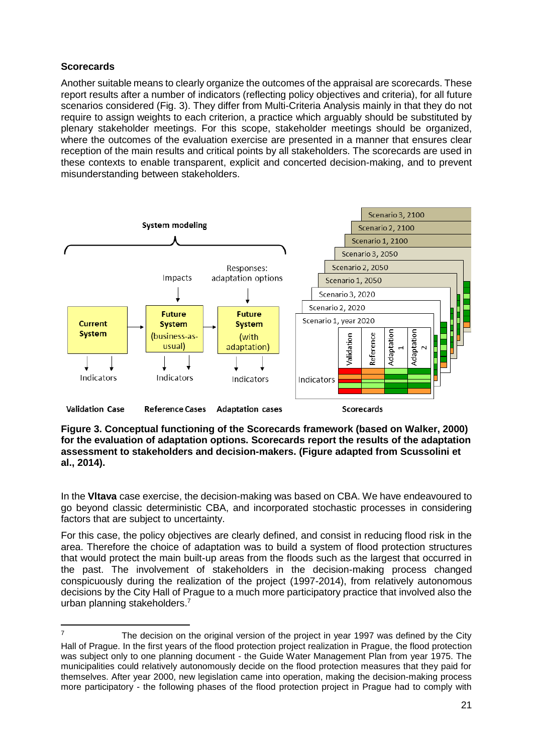#### **Scorecards**

Another suitable means to clearly organize the outcomes of the appraisal are scorecards. These report results after a number of indicators (reflecting policy objectives and criteria), for all future scenarios considered (Fig. 3). They differ from Multi-Criteria Analysis mainly in that they do not require to assign weights to each criterion, a practice which arguably should be substituted by plenary stakeholder meetings. For this scope, stakeholder meetings should be organized, where the outcomes of the evaluation exercise are presented in a manner that ensures clear reception of the main results and critical points by all stakeholders. The scorecards are used in these contexts to enable transparent, explicit and concerted decision-making, and to prevent misunderstanding between stakeholders.



**Figure 3. Conceptual functioning of the Scorecards framework (based on Walker, 2000) for the evaluation of adaptation options. Scorecards report the results of the adaptation assessment to stakeholders and decision-makers. (Figure adapted from Scussolini et al., 2014).**

In the **Vltava** case exercise, the decision-making was based on CBA. We have endeavoured to go beyond classic deterministic CBA, and incorporated stochastic processes in considering factors that are subject to uncertainty.

For this case, the policy objectives are clearly defined, and consist in reducing flood risk in the area. Therefore the choice of adaptation was to build a system of flood protection structures that would protect the main built-up areas from the floods such as the largest that occurred in the past. The involvement of stakeholders in the decision-making process changed conspicuously during the realization of the project (1997-2014), from relatively autonomous decisions by the City Hall of Prague to a much more participatory practice that involved also the urban planning stakeholders.<sup>7</sup>

 $\overline{7}$ The decision on the original version of the project in year 1997 was defined by the City Hall of Prague. In the first years of the flood protection project realization in Prague, the flood protection was subject only to one planning document - the Guide Water Management Plan from year 1975. The municipalities could relatively autonomously decide on the flood protection measures that they paid for themselves. After year 2000, new legislation came into operation, making the decision-making process more participatory - the following phases of the flood protection project in Prague had to comply with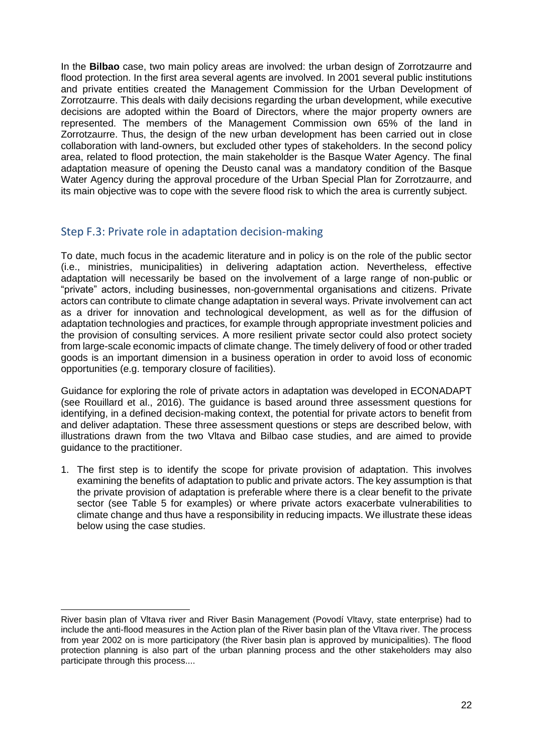In the **Bilbao** case, two main policy areas are involved: the urban design of Zorrotzaurre and flood protection. In the first area several agents are involved. In 2001 several public institutions and private entities created the Management Commission for the Urban Development of Zorrotzaurre. This deals with daily decisions regarding the urban development, while executive decisions are adopted within the Board of Directors, where the major property owners are represented. The members of the Management Commission own 65% of the land in Zorrotzaurre. Thus, the design of the new urban development has been carried out in close collaboration with land-owners, but excluded other types of stakeholders. In the second policy area, related to flood protection, the main stakeholder is the Basque Water Agency. The final adaptation measure of opening the Deusto canal was a mandatory condition of the Basque Water Agency during the approval procedure of the Urban Special Plan for Zorrotzaurre, and its main objective was to cope with the severe flood risk to which the area is currently subject.

#### Step F.3: Private role in adaptation decision-making

To date, much focus in the academic literature and in policy is on the role of the public sector (i.e., ministries, municipalities) in delivering adaptation action. Nevertheless, effective adaptation will necessarily be based on the involvement of a large range of non-public or "private" actors, including businesses, non-governmental organisations and citizens. Private actors can contribute to climate change adaptation in several ways. Private involvement can act as a driver for innovation and technological development, as well as for the diffusion of adaptation technologies and practices, for example through appropriate investment policies and the provision of consulting services. A more resilient private sector could also protect society from large-scale economic impacts of climate change. The timely delivery of food or other traded goods is an important dimension in a business operation in order to avoid loss of economic opportunities (e.g. temporary closure of facilities).

Guidance for exploring the role of private actors in adaptation was developed in ECONADAPT (see Rouillard et al., 2016). The guidance is based around three assessment questions for identifying, in a defined decision-making context, the potential for private actors to benefit from and deliver adaptation. These three assessment questions or steps are described below, with illustrations drawn from the two Vltava and Bilbao case studies, and are aimed to provide guidance to the practitioner.

1. The first step is to identify the scope for private provision of adaptation. This involves examining the benefits of adaptation to public and private actors. The key assumption is that the private provision of adaptation is preferable where there is a clear benefit to the private sector (see Table 5 for examples) or where private actors exacerbate vulnerabilities to climate change and thus have a responsibility in reducing impacts. We illustrate these ideas below using the case studies.

 River basin plan of Vltava river and River Basin Management (Povodí Vltavy, state enterprise) had to include the anti-flood measures in the Action plan of the River basin plan of the Vltava river. The process from year 2002 on is more participatory (the River basin plan is approved by municipalities). The flood protection planning is also part of the urban planning process and the other stakeholders may also participate through this process....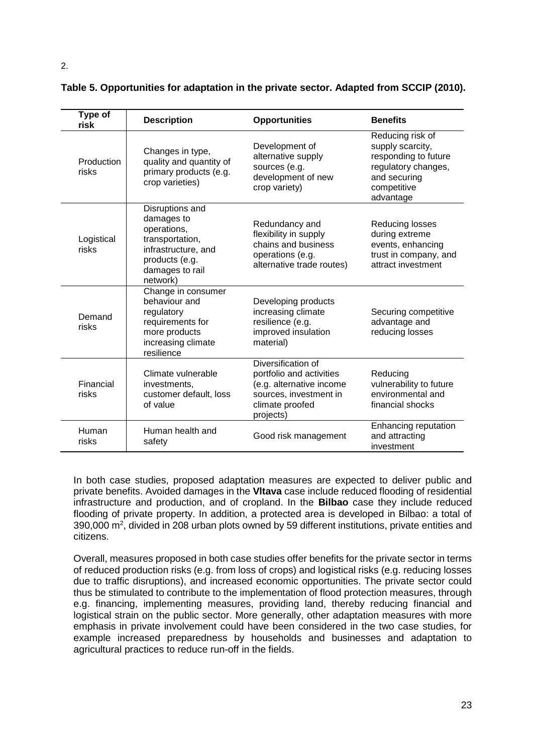| Type of<br>risk     | <b>Description</b>                                                                                                                      | <b>Opportunities</b>                                                                                                                 | <b>Benefits</b>                                                                                                                 |
|---------------------|-----------------------------------------------------------------------------------------------------------------------------------------|--------------------------------------------------------------------------------------------------------------------------------------|---------------------------------------------------------------------------------------------------------------------------------|
| Production<br>risks | Changes in type,<br>quality and quantity of<br>primary products (e.g.<br>crop varieties)                                                | Development of<br>alternative supply<br>sources (e.g.<br>development of new<br>crop variety)                                         | Reducing risk of<br>supply scarcity,<br>responding to future<br>regulatory changes,<br>and securing<br>competitive<br>advantage |
| Logistical<br>risks | Disruptions and<br>damages to<br>operations,<br>transportation,<br>infrastructure, and<br>products (e.g.<br>damages to rail<br>network) | Redundancy and<br>flexibility in supply<br>chains and business<br>operations (e.g.<br>alternative trade routes)                      | Reducing losses<br>during extreme<br>events, enhancing<br>trust in company, and<br>attract investment                           |
| Demand<br>risks     | Change in consumer<br>behaviour and<br>regulatory<br>requirements for<br>more products<br>increasing climate<br>resilience              | Developing products<br>increasing climate<br>resilience (e.g.<br>improved insulation<br>material)                                    | Securing competitive<br>advantage and<br>reducing losses                                                                        |
| Financial<br>risks  | Climate vulnerable<br>investments,<br>customer default, loss<br>of value                                                                | Diversification of<br>portfolio and activities<br>(e.g. alternative income<br>sources, investment in<br>climate proofed<br>projects) | Reducing<br>vulnerability to future<br>environmental and<br>financial shocks                                                    |
| Human<br>risks      | Human health and<br>safety                                                                                                              | Good risk management                                                                                                                 | Enhancing reputation<br>and attracting<br>investment                                                                            |

#### **Table 5. Opportunities for adaptation in the private sector. Adapted from SCCIP (2010).**

In both case studies, proposed adaptation measures are expected to deliver public and private benefits. Avoided damages in the **Vltava** case include reduced flooding of residential infrastructure and production, and of cropland. In the **Bilbao** case they include reduced flooding of private property. In addition, a protected area is developed in Bilbao: a total of 390,000 m<sup>2</sup>, divided in 208 urban plots owned by 59 different institutions, private entities and citizens.

Overall, measures proposed in both case studies offer benefits for the private sector in terms of reduced production risks (e.g. from loss of crops) and logistical risks (e.g. reducing losses due to traffic disruptions), and increased economic opportunities. The private sector could thus be stimulated to contribute to the implementation of flood protection measures, through e.g. financing, implementing measures, providing land, thereby reducing financial and logistical strain on the public sector. More generally, other adaptation measures with more emphasis in private involvement could have been considered in the two case studies, for example increased preparedness by households and businesses and adaptation to agricultural practices to reduce run-off in the fields.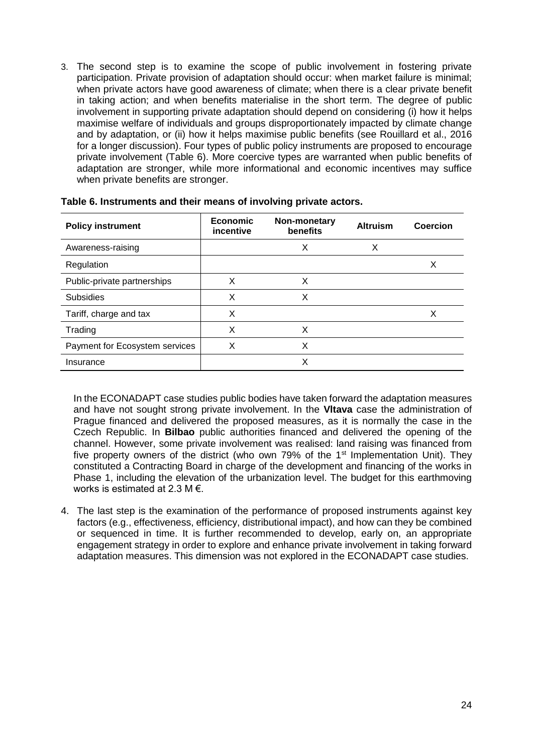3. The second step is to examine the scope of public involvement in fostering private participation. Private provision of adaptation should occur: when market failure is minimal; when private actors have good awareness of climate; when there is a clear private benefit in taking action; and when benefits materialise in the short term. The degree of public involvement in supporting private adaptation should depend on considering (i) how it helps maximise welfare of individuals and groups disproportionately impacted by climate change and by adaptation, or (ii) how it helps maximise public benefits (see Rouillard et al., 2016 for a longer discussion). Four types of public policy instruments are proposed to encourage private involvement (Table 6). More coercive types are warranted when public benefits of adaptation are stronger, while more informational and economic incentives may suffice when private benefits are stronger.

| <b>Policy instrument</b>       | <b>Economic</b><br>incentive | Non-monetary<br>benefits | <b>Altruism</b> | Coercion |
|--------------------------------|------------------------------|--------------------------|-----------------|----------|
| Awareness-raising              |                              | Х                        | Χ               |          |
| Regulation                     |                              |                          |                 | X        |
| Public-private partnerships    | х                            | X                        |                 |          |
| <b>Subsidies</b>               | X                            | X                        |                 |          |
| Tariff, charge and tax         | X                            |                          |                 | X        |
| Trading                        | X                            | X                        |                 |          |
| Payment for Ecosystem services | Χ                            | Χ                        |                 |          |
| Insurance                      |                              | Х                        |                 |          |

In the ECONADAPT case studies public bodies have taken forward the adaptation measures and have not sought strong private involvement. In the **Vltava** case the administration of Prague financed and delivered the proposed measures, as it is normally the case in the Czech Republic. In **Bilbao** public authorities financed and delivered the opening of the channel. However, some private involvement was realised: land raising was financed from five property owners of the district (who own 79% of the 1<sup>st</sup> Implementation Unit). They constituted a Contracting Board in charge of the development and financing of the works in Phase 1, including the elevation of the urbanization level. The budget for this earthmoving works is estimated at 2.3 M €.

4. The last step is the examination of the performance of proposed instruments against key factors (e.g., effectiveness, efficiency, distributional impact), and how can they be combined or sequenced in time. It is further recommended to develop, early on, an appropriate engagement strategy in order to explore and enhance private involvement in taking forward adaptation measures. This dimension was not explored in the ECONADAPT case studies.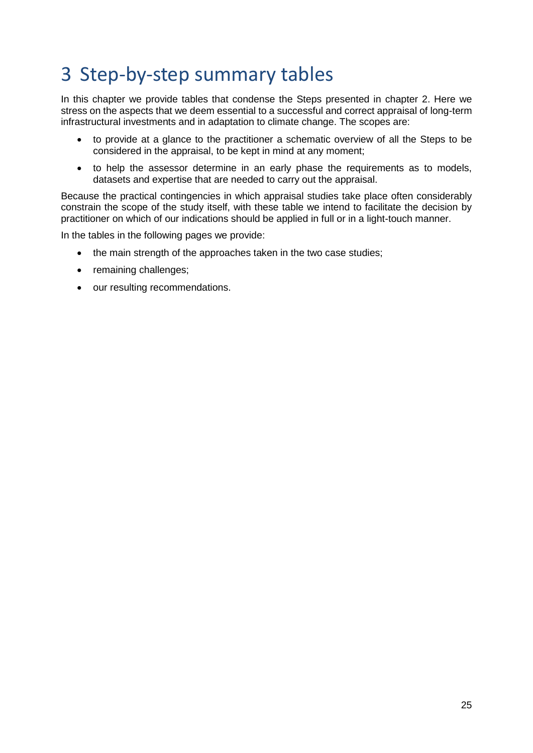## <span id="page-28-0"></span>3 Step-by-step summary tables

In this chapter we provide tables that condense the Steps presented in chapter 2. Here we stress on the aspects that we deem essential to a successful and correct appraisal of long-term infrastructural investments and in adaptation to climate change. The scopes are:

- to provide at a glance to the practitioner a schematic overview of all the Steps to be considered in the appraisal, to be kept in mind at any moment;
- to help the assessor determine in an early phase the requirements as to models, datasets and expertise that are needed to carry out the appraisal.

Because the practical contingencies in which appraisal studies take place often considerably constrain the scope of the study itself, with these table we intend to facilitate the decision by practitioner on which of our indications should be applied in full or in a light-touch manner.

In the tables in the following pages we provide:

- the main strength of the approaches taken in the two case studies;
- remaining challenges;
- our resulting recommendations.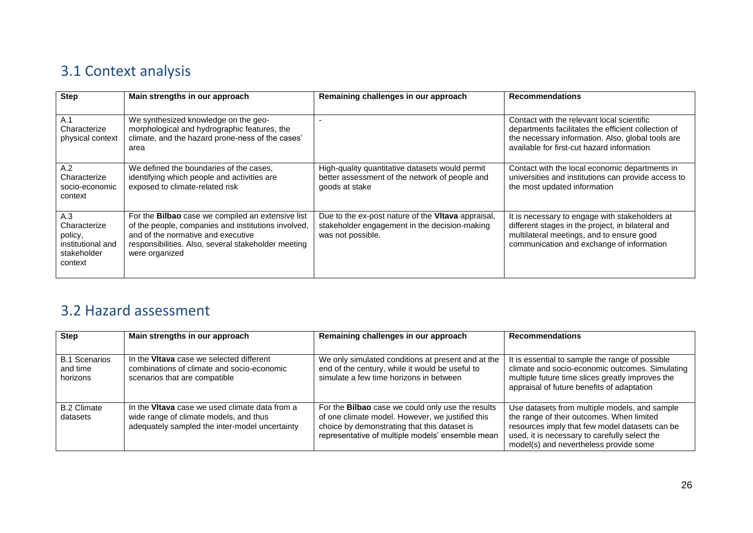## 3.1 Context analysis

| <b>Step</b>                                                                   | Main strengths in our approach                                                                                                                                                                                          | Remaining challenges in our approach                                                                                     | <b>Recommendations</b>                                                                                                                                                                               |
|-------------------------------------------------------------------------------|-------------------------------------------------------------------------------------------------------------------------------------------------------------------------------------------------------------------------|--------------------------------------------------------------------------------------------------------------------------|------------------------------------------------------------------------------------------------------------------------------------------------------------------------------------------------------|
| A.1<br>Characterize<br>physical context                                       | We synthesized knowledge on the geo-<br>morphological and hydrographic features, the<br>climate, and the hazard prone-ness of the cases'<br>area                                                                        |                                                                                                                          | Contact with the relevant local scientific<br>departments facilitates the efficient collection of<br>the necessary information. Also, global tools are<br>available for first-cut hazard information |
| A.2<br>Characterize<br>socio-economic<br>context                              | We defined the boundaries of the cases,<br>identifying which people and activities are<br>exposed to climate-related risk                                                                                               | High-quality quantitative datasets would permit<br>better assessment of the network of people and<br>goods at stake      | Contact with the local economic departments in<br>universities and institutions can provide access to<br>the most updated information                                                                |
| A.3<br>Characterize<br>policy,<br>institutional and<br>stakeholder<br>context | For the Bilbao case we compiled an extensive list<br>of the people, companies and institutions involved,<br>and of the normative and executive<br>responsibilities. Also, several stakeholder meeting<br>were organized | Due to the ex-post nature of the Vitava appraisal,<br>stakeholder engagement in the decision-making<br>was not possible. | It is necessary to engage with stakeholders at<br>different stages in the project, in bilateral and<br>multilateral meetings, and to ensure good<br>communication and exchange of information        |

## <span id="page-29-0"></span>3.2 Hazard assessment

<span id="page-29-1"></span>

| <b>Step</b>                                  | Main strengths in our approach                                                                                                             | Remaining challenges in our approach                                                                                                                                                                             | <b>Recommendations</b>                                                                                                                                                                                                                  |
|----------------------------------------------|--------------------------------------------------------------------------------------------------------------------------------------------|------------------------------------------------------------------------------------------------------------------------------------------------------------------------------------------------------------------|-----------------------------------------------------------------------------------------------------------------------------------------------------------------------------------------------------------------------------------------|
| <b>B.1 Scenarios</b><br>and time<br>horizons | In the Vitava case we selected different<br>combinations of climate and socio-economic<br>scenarios that are compatible                    | We only simulated conditions at present and at the<br>end of the century, while it would be useful to<br>simulate a few time horizons in between                                                                 | It is essential to sample the range of possible<br>climate and socio-economic outcomes. Simulating<br>multiple future time slices greatly improves the<br>appraisal of future benefits of adaptation                                    |
| <b>B.2 Climate</b><br>datasets               | In the Vitava case we used climate data from a<br>wide range of climate models, and thus<br>adequately sampled the inter-model uncertainty | For the <b>Bilbao</b> case we could only use the results<br>of one climate model. However, we justified this<br>choice by demonstrating that this dataset is<br>representative of multiple models' ensemble mean | Use datasets from multiple models, and sample<br>the range of their outcomes. When limited<br>resources imply that few model datasets can be<br>used, it is necessary to carefully select the<br>model(s) and nevertheless provide some |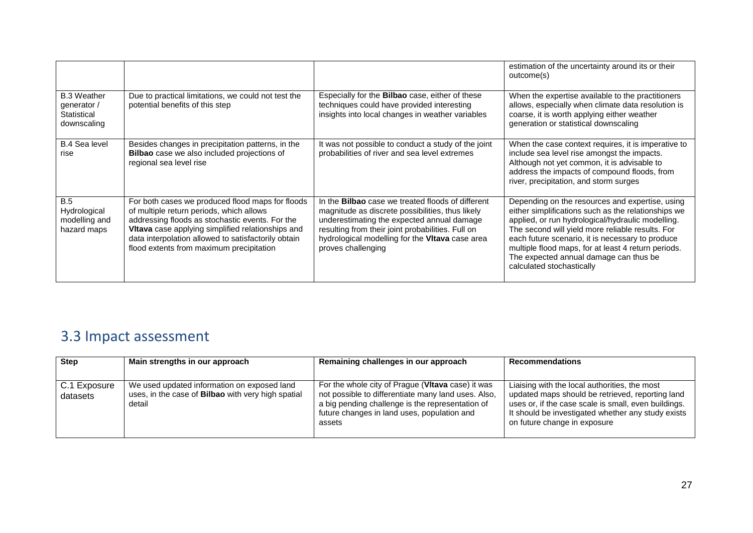|                                                                 |                                                                                                                                                                                                                                                                                                         |                                                                                                                                                                                                                                                                                          | estimation of the uncertainty around its or their<br>outcome(s)                                                                                                                                                                                                                                                                                                                                   |
|-----------------------------------------------------------------|---------------------------------------------------------------------------------------------------------------------------------------------------------------------------------------------------------------------------------------------------------------------------------------------------------|------------------------------------------------------------------------------------------------------------------------------------------------------------------------------------------------------------------------------------------------------------------------------------------|---------------------------------------------------------------------------------------------------------------------------------------------------------------------------------------------------------------------------------------------------------------------------------------------------------------------------------------------------------------------------------------------------|
| <b>B.3 Weather</b><br>generator /<br>Statistical<br>downscaling | Due to practical limitations, we could not test the<br>potential benefits of this step                                                                                                                                                                                                                  | Especially for the <b>Bilbao</b> case, either of these<br>techniques could have provided interesting<br>insights into local changes in weather variables                                                                                                                                 | When the expertise available to the practitioners<br>allows, especially when climate data resolution is<br>coarse, it is worth applying either weather<br>generation or statistical downscaling                                                                                                                                                                                                   |
| <b>B.4 Sea level</b><br>rise                                    | Besides changes in precipitation patterns, in the<br><b>Bilbao</b> case we also included projections of<br>regional sea level rise                                                                                                                                                                      | It was not possible to conduct a study of the joint<br>probabilities of river and sea level extremes                                                                                                                                                                                     | When the case context requires, it is imperative to<br>include sea level rise amongst the impacts.<br>Although not yet common, it is advisable to<br>address the impacts of compound floods, from<br>river, precipitation, and storm surges                                                                                                                                                       |
| B.5<br>Hydrological<br>modelling and<br>hazard maps             | For both cases we produced flood maps for floods<br>of multiple return periods, which allows<br>addressing floods as stochastic events. For the<br>Vitava case applying simplified relationships and<br>data interpolation allowed to satisfactorily obtain<br>flood extents from maximum precipitation | In the <b>Bilbao</b> case we treated floods of different<br>magnitude as discrete possibilities, thus likely<br>underestimating the expected annual damage<br>resulting from their joint probabilities. Full on<br>hydrological modelling for the Vitava case area<br>proves challenging | Depending on the resources and expertise, using<br>either simplifications such as the relationships we<br>applied, or run hydrological/hydraulic modelling.<br>The second will yield more reliable results. For<br>each future scenario, it is necessary to produce<br>multiple flood maps, for at least 4 return periods.<br>The expected annual damage can thus be<br>calculated stochastically |

## 3.3 Impact assessment

<span id="page-30-0"></span>

| <b>Step</b>              | Main strengths in our approach                                                                                     | Remaining challenges in our approach                                                                                                                                                                                  | <b>Recommendations</b>                                                                                                                                                                                                                          |
|--------------------------|--------------------------------------------------------------------------------------------------------------------|-----------------------------------------------------------------------------------------------------------------------------------------------------------------------------------------------------------------------|-------------------------------------------------------------------------------------------------------------------------------------------------------------------------------------------------------------------------------------------------|
|                          |                                                                                                                    |                                                                                                                                                                                                                       |                                                                                                                                                                                                                                                 |
| C.1 Exposure<br>datasets | We used updated information on exposed land<br>uses, in the case of <b>Bilbao</b> with very high spatial<br>detail | For the whole city of Prague (Vitava case) it was<br>not possible to differentiate many land uses. Also,<br>a big pending challenge is the representation of<br>future changes in land uses, population and<br>assets | Liaising with the local authorities, the most<br>updated maps should be retrieved, reporting land<br>uses or, if the case scale is small, even buildings.<br>It should be investigated whether any study exists<br>on future change in exposure |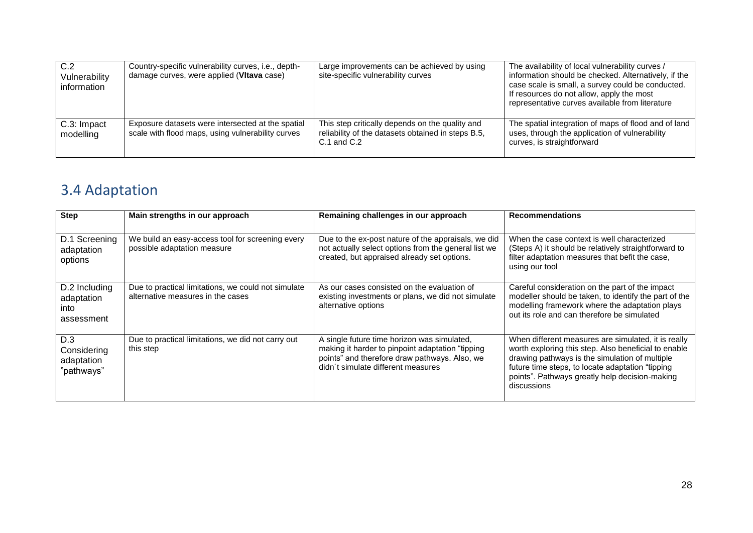| C.2<br>Vulnerability<br>information | Country-specific vulnerability curves, i.e., depth-<br>damage curves, were applied (Vitava case)       | Large improvements can be achieved by using<br>site-specific vulnerability curves                                        | The availability of local vulnerability curves /<br>information should be checked. Alternatively, if the<br>case scale is small, a survey could be conducted.<br>If resources do not allow, apply the most<br>representative curves available from literature |
|-------------------------------------|--------------------------------------------------------------------------------------------------------|--------------------------------------------------------------------------------------------------------------------------|---------------------------------------------------------------------------------------------------------------------------------------------------------------------------------------------------------------------------------------------------------------|
| C.3: Impact<br>modelling            | Exposure datasets were intersected at the spatial<br>scale with flood maps, using vulnerability curves | This step critically depends on the quality and<br>reliability of the datasets obtained in steps B.5,<br>$C.1$ and $C.2$ | The spatial integration of maps of flood and of land<br>uses, through the application of vulnerability<br>curves, is straightforward                                                                                                                          |

## 3.4 Adaptation

<span id="page-31-0"></span>

| <b>Step</b>                                       | Main strengths in our approach                                                           | Remaining challenges in our approach                                                                                                                                                    | <b>Recommendations</b>                                                                                                                                                                                                                                                             |
|---------------------------------------------------|------------------------------------------------------------------------------------------|-----------------------------------------------------------------------------------------------------------------------------------------------------------------------------------------|------------------------------------------------------------------------------------------------------------------------------------------------------------------------------------------------------------------------------------------------------------------------------------|
| D.1 Screening<br>adaptation<br>options            | We build an easy-access tool for screening every<br>possible adaptation measure          | Due to the ex-post nature of the appraisals, we did<br>not actually select options from the general list we<br>created, but appraised already set options.                              | When the case context is well characterized<br>(Steps A) it should be relatively straightforward to<br>filter adaptation measures that befit the case,<br>using our tool                                                                                                           |
| D.2 Including<br>adaptation<br>into<br>assessment | Due to practical limitations, we could not simulate<br>alternative measures in the cases | As our cases consisted on the evaluation of<br>existing investments or plans, we did not simulate<br>alternative options                                                                | Careful consideration on the part of the impact<br>modeller should be taken, to identify the part of the<br>modelling framework where the adaptation plays<br>out its role and can therefore be simulated                                                                          |
| D.3<br>Considering<br>adaptation<br>"pathways"    | Due to practical limitations, we did not carry out<br>this step                          | A single future time horizon was simulated,<br>making it harder to pinpoint adaptation "tipping"<br>points" and therefore draw pathways. Also, we<br>didn't simulate different measures | When different measures are simulated, it is really<br>worth exploring this step. Also beneficial to enable<br>drawing pathways is the simulation of multiple<br>future time steps, to locate adaptation "tipping<br>points". Pathways greatly help decision-making<br>discussions |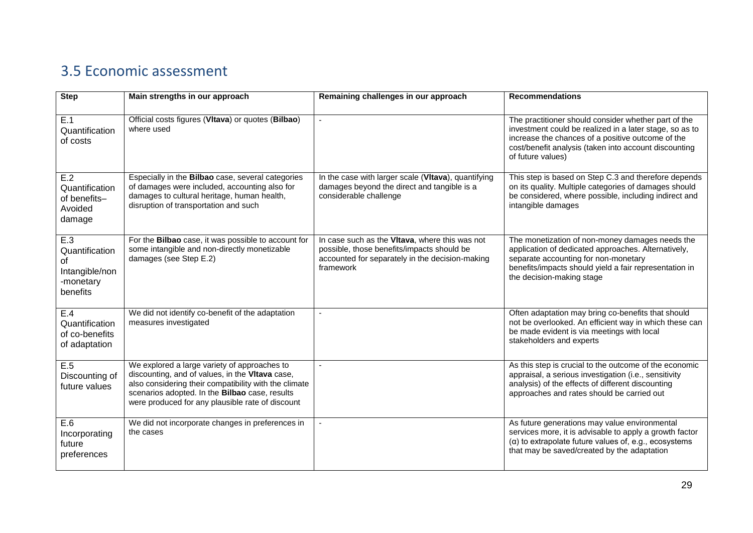## 3.5 Economic assessment

<span id="page-32-0"></span>

| <b>Step</b>                                                            | Main strengths in our approach                                                                                                                                                                                                                                 | Remaining challenges in our approach                                                                                                                         | <b>Recommendations</b>                                                                                                                                                                                                                             |
|------------------------------------------------------------------------|----------------------------------------------------------------------------------------------------------------------------------------------------------------------------------------------------------------------------------------------------------------|--------------------------------------------------------------------------------------------------------------------------------------------------------------|----------------------------------------------------------------------------------------------------------------------------------------------------------------------------------------------------------------------------------------------------|
| E.1<br>Quantification<br>of costs                                      | Official costs figures (VItava) or quotes (Bilbao)<br>where used                                                                                                                                                                                               |                                                                                                                                                              | The practitioner should consider whether part of the<br>investment could be realized in a later stage, so as to<br>increase the chances of a positive outcome of the<br>cost/benefit analysis (taken into account discounting<br>of future values) |
| E.2<br>Quantification<br>of benefits-<br>Avoided<br>damage             | Especially in the Bilbao case, several categories<br>of damages were included, accounting also for<br>damages to cultural heritage, human health,<br>disruption of transportation and such                                                                     | In the case with larger scale (VItava), quantifying<br>damages beyond the direct and tangible is a<br>considerable challenge                                 | This step is based on Step C.3 and therefore depends<br>on its quality. Multiple categories of damages should<br>be considered, where possible, including indirect and<br>intangible damages                                                       |
| E.3<br>Quantification<br>of<br>Intangible/non<br>-monetary<br>benefits | For the Bilbao case, it was possible to account for<br>some intangible and non-directly monetizable<br>damages (see Step E.2)                                                                                                                                  | In case such as the Vitava, where this was not<br>possible, those benefits/impacts should be<br>accounted for separately in the decision-making<br>framework | The monetization of non-money damages needs the<br>application of dedicated approaches. Alternatively,<br>separate accounting for non-monetary<br>benefits/impacts should yield a fair representation in<br>the decision-making stage              |
| E.4<br>Quantification<br>of co-benefits<br>of adaptation               | We did not identify co-benefit of the adaptation<br>measures investigated                                                                                                                                                                                      |                                                                                                                                                              | Often adaptation may bring co-benefits that should<br>not be overlooked. An efficient way in which these can<br>be made evident is via meetings with local<br>stakeholders and experts                                                             |
| E.5<br>Discounting of<br>future values                                 | We explored a large variety of approaches to<br>discounting, and of values, in the Vitava case,<br>also considering their compatibility with the climate<br>scenarios adopted. In the Bilbao case, results<br>were produced for any plausible rate of discount |                                                                                                                                                              | As this step is crucial to the outcome of the economic<br>appraisal, a serious investigation (i.e., sensitivity<br>analysis) of the effects of different discounting<br>approaches and rates should be carried out                                 |
| E.6<br>Incorporating<br>future<br>preferences                          | We did not incorporate changes in preferences in<br>the cases                                                                                                                                                                                                  |                                                                                                                                                              | As future generations may value environmental<br>services more, it is advisable to apply a growth factor<br>$(\alpha)$ to extrapolate future values of, e.g., ecosystems<br>that may be saved/created by the adaptation                            |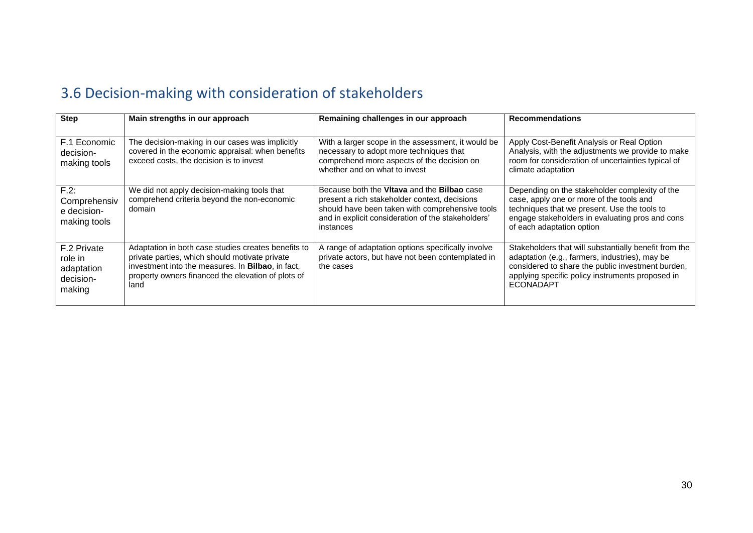## 3.6 Decision-making with consideration of stakeholders

<span id="page-33-0"></span>

| <b>Step</b>                                                 | Main strengths in our approach                                                                                                                                                                                           | Remaining challenges in our approach                                                                                                                                                                               | <b>Recommendations</b>                                                                                                                                                                                                               |
|-------------------------------------------------------------|--------------------------------------------------------------------------------------------------------------------------------------------------------------------------------------------------------------------------|--------------------------------------------------------------------------------------------------------------------------------------------------------------------------------------------------------------------|--------------------------------------------------------------------------------------------------------------------------------------------------------------------------------------------------------------------------------------|
| F.1 Economic<br>decision-<br>making tools                   | The decision-making in our cases was implicitly<br>covered in the economic appraisal: when benefits<br>exceed costs, the decision is to invest                                                                           | With a larger scope in the assessment, it would be<br>necessary to adopt more techniques that<br>comprehend more aspects of the decision on<br>whether and on what to invest                                       | Apply Cost-Benefit Analysis or Real Option<br>Analysis, with the adjustments we provide to make<br>room for consideration of uncertainties typical of<br>climate adaptation                                                          |
| $F.2$ :<br>Comprehensiv<br>e decision-<br>making tools      | We did not apply decision-making tools that<br>comprehend criteria beyond the non-economic<br>domain                                                                                                                     | Because both the Vitava and the Bilbao case<br>present a rich stakeholder context, decisions<br>should have been taken with comprehensive tools<br>and in explicit consideration of the stakeholders'<br>instances | Depending on the stakeholder complexity of the<br>case, apply one or more of the tools and<br>techniques that we present. Use the tools to<br>engage stakeholders in evaluating pros and cons<br>of each adaptation option           |
| F.2 Private<br>role in<br>adaptation<br>decision-<br>making | Adaptation in both case studies creates benefits to<br>private parties, which should motivate private<br>investment into the measures. In Bilbao, in fact,<br>property owners financed the elevation of plots of<br>land | A range of adaptation options specifically involve<br>private actors, but have not been contemplated in<br>the cases                                                                                               | Stakeholders that will substantially benefit from the<br>adaptation (e.g., farmers, industries), may be<br>considered to share the public investment burden,<br>applying specific policy instruments proposed in<br><b>ECONADAPT</b> |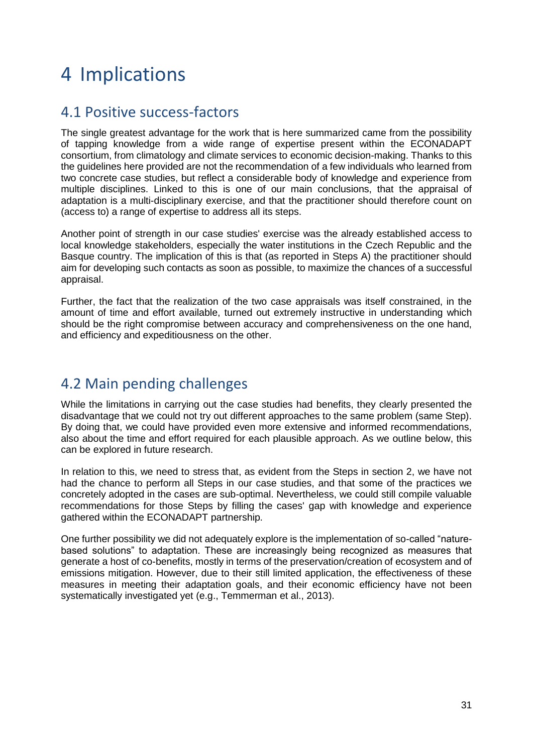# <span id="page-34-0"></span>4 Implications

### <span id="page-34-1"></span>4.1 Positive success-factors

The single greatest advantage for the work that is here summarized came from the possibility of tapping knowledge from a wide range of expertise present within the ECONADAPT consortium, from climatology and climate services to economic decision-making. Thanks to this the guidelines here provided are not the recommendation of a few individuals who learned from two concrete case studies, but reflect a considerable body of knowledge and experience from multiple disciplines. Linked to this is one of our main conclusions, that the appraisal of adaptation is a multi-disciplinary exercise, and that the practitioner should therefore count on (access to) a range of expertise to address all its steps.

Another point of strength in our case studies' exercise was the already established access to local knowledge stakeholders, especially the water institutions in the Czech Republic and the Basque country. The implication of this is that (as reported in Steps A) the practitioner should aim for developing such contacts as soon as possible, to maximize the chances of a successful appraisal.

Further, the fact that the realization of the two case appraisals was itself constrained, in the amount of time and effort available, turned out extremely instructive in understanding which should be the right compromise between accuracy and comprehensiveness on the one hand, and efficiency and expeditiousness on the other.

## <span id="page-34-2"></span>4.2 Main pending challenges

While the limitations in carrying out the case studies had benefits, they clearly presented the disadvantage that we could not try out different approaches to the same problem (same Step). By doing that, we could have provided even more extensive and informed recommendations, also about the time and effort required for each plausible approach. As we outline below, this can be explored in future research.

In relation to this, we need to stress that, as evident from the Steps in section 2, we have not had the chance to perform all Steps in our case studies, and that some of the practices we concretely adopted in the cases are sub-optimal. Nevertheless, we could still compile valuable recommendations for those Steps by filling the cases' gap with knowledge and experience gathered within the ECONADAPT partnership.

One further possibility we did not adequately explore is the implementation of so-called "naturebased solutions" to adaptation. These are increasingly being recognized as measures that generate a host of co-benefits, mostly in terms of the preservation/creation of ecosystem and of emissions mitigation. However, due to their still limited application, the effectiveness of these measures in meeting their adaptation goals, and their economic efficiency have not been systematically investigated yet (e.g., Temmerman et al., 2013).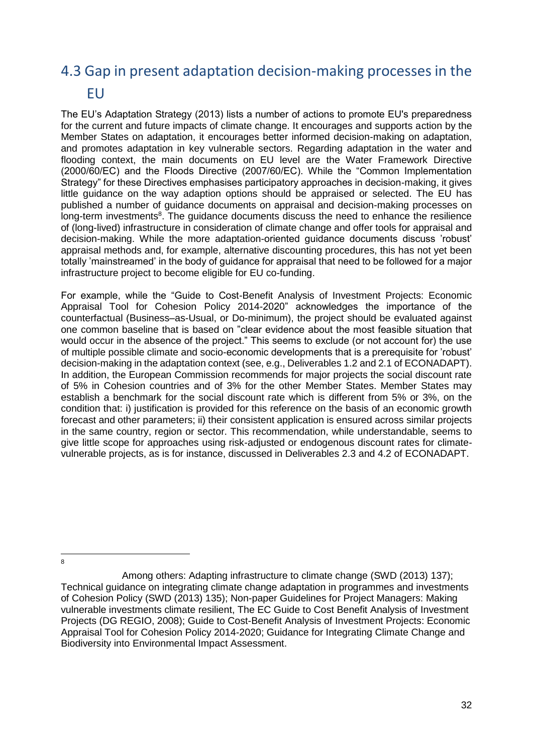## <span id="page-35-0"></span>4.3 Gap in present adaptation decision-making processes in the EU

The EU's Adaptation Strategy (2013) lists a number of actions to promote EU's preparedness for the current and future impacts of climate change. It encourages and supports action by the Member States on adaptation, it encourages better informed decision-making on adaptation, and promotes adaptation in key vulnerable sectors. Regarding adaptation in the water and flooding context, the main documents on EU level are the Water Framework Directive (2000/60/EC) and the Floods Directive (2007/60/EC). While the "Common Implementation Strategy" for these Directives emphasises participatory approaches in decision-making, it gives little guidance on the way adaption options should be appraised or selected. The EU has published a number of guidance documents on appraisal and decision-making processes on long-term investments<sup>8</sup>. The guidance documents discuss the need to enhance the resilience of (long-lived) infrastructure in consideration of climate change and offer tools for appraisal and decision-making. While the more adaptation-oriented guidance documents discuss 'robust' appraisal methods and, for example, alternative discounting procedures, this has not yet been totally 'mainstreamed' in the body of guidance for appraisal that need to be followed for a major infrastructure project to become eligible for EU co-funding.

For example, while the "Guide to Cost-Benefit Analysis of Investment Projects: Economic Appraisal Tool for Cohesion Policy 2014-2020" acknowledges the importance of the counterfactual (Business–as-Usual, or Do-minimum), the project should be evaluated against one common baseline that is based on "clear evidence about the most feasible situation that would occur in the absence of the project." This seems to exclude (or not account for) the use of multiple possible climate and socio-economic developments that is a prerequisite for 'robust' decision-making in the adaptation context (see, e.g., Deliverables 1.2 and 2.1 of ECONADAPT). In addition, the European Commission recommends for major projects the social discount rate of 5% in Cohesion countries and of 3% for the other Member States. Member States may establish a benchmark for the social discount rate which is different from 5% or 3%, on the condition that: i) justification is provided for this reference on the basis of an economic growth forecast and other parameters; ii) their consistent application is ensured across similar projects in the same country, region or sector. This recommendation, while understandable, seems to give little scope for approaches using risk-adjusted or endogenous discount rates for climatevulnerable projects, as is for instance, discussed in Deliverables 2.3 and 4.2 of ECONADAPT.

 $\overline{8}$ 

Among others: Adapting infrastructure to climate change (SWD (2013) 137); Technical guidance on integrating climate change adaptation in programmes and investments of Cohesion Policy (SWD (2013) 135); Non-paper Guidelines for Project Managers: Making vulnerable investments climate resilient, The EC Guide to Cost Benefit Analysis of Investment Projects (DG REGIO, 2008); Guide to Cost-Benefit Analysis of Investment Projects: Economic Appraisal Tool for Cohesion Policy 2014-2020; Guidance for Integrating Climate Change and Biodiversity into Environmental Impact Assessment.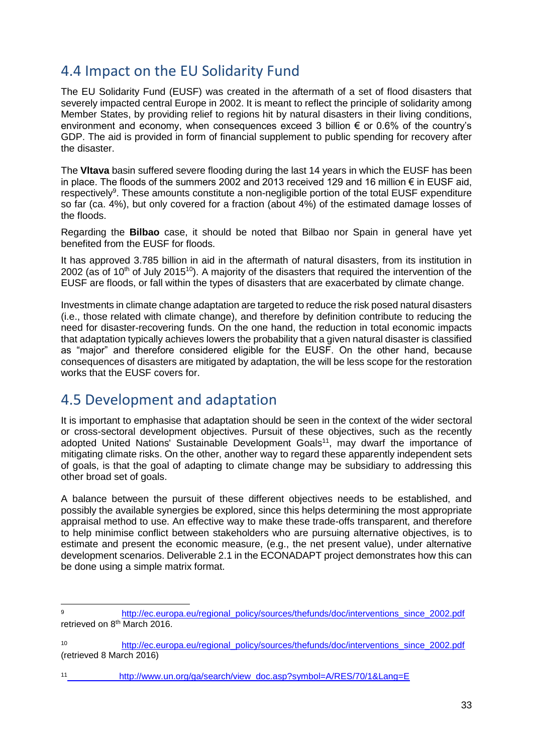### <span id="page-36-0"></span>4.4 Impact on the EU Solidarity Fund

The EU Solidarity Fund (EUSF) was created in the aftermath of a set of flood disasters that severely impacted central Europe in 2002. It is meant to reflect the principle of solidarity among Member States, by providing relief to regions hit by natural disasters in their living conditions, environment and economy, when consequences exceed 3 billion  $\epsilon$  or 0.6% of the country's GDP. The aid is provided in form of financial supplement to public spending for recovery after the disaster.

The **Vltava** basin suffered severe flooding during the last 14 years in which the EUSF has been in place. The floods of the summers 2002 and 2013 received 129 and 16 million € in EUSF aid, respectively<sup>9</sup>. These amounts constitute a non-negligible portion of the total EUSF expenditure so far (ca. 4%), but only covered for a fraction (about 4%) of the estimated damage losses of the floods.

Regarding the **Bilbao** case, it should be noted that Bilbao nor Spain in general have yet benefited from the EUSF for floods.

It has approved 3.785 billion in aid in the aftermath of natural disasters, from its institution in 2002 (as of 10<sup>th</sup> of July 2015<sup>10</sup>). A majority of the disasters that required the intervention of the EUSF are floods, or fall within the types of disasters that are exacerbated by climate change.

Investments in climate change adaptation are targeted to reduce the risk posed natural disasters (i.e., those related with climate change), and therefore by definition contribute to reducing the need for disaster-recovering funds. On the one hand, the reduction in total economic impacts that adaptation typically achieves lowers the probability that a given natural disaster is classified as "major" and therefore considered eligible for the EUSF. On the other hand, because consequences of disasters are mitigated by adaptation, the will be less scope for the restoration works that the EUSF covers for.

### <span id="page-36-1"></span>4.5 Development and adaptation

It is important to emphasise that adaptation should be seen in the context of the wider sectoral or cross-sectoral development objectives. Pursuit of these objectives, such as the recently adopted United Nations' Sustainable Development Goals<sup>11</sup>, may dwarf the importance of mitigating climate risks. On the other, another way to regard these apparently independent sets of goals, is that the goal of adapting to climate change may be subsidiary to addressing this other broad set of goals.

A balance between the pursuit of these different objectives needs to be established, and possibly the available synergies be explored, since this helps determining the most appropriate appraisal method to use. An effective way to make these trade-offs transparent, and therefore to help minimise conflict between stakeholders who are pursuing alternative objectives, is to estimate and present the economic measure, (e.g., the net present value), under alternative development scenarios. Deliverable 2.1 in the ECONADAPT project demonstrates how this can be done using a simple matrix format.

 $\overline{a}$ 9 [http://ec.europa.eu/regional\\_policy/sources/thefunds/doc/interventions\\_since\\_2002.pdf](http://ec.europa.eu/regional_policy/sources/thefunds/doc/interventions_since_2002.pdf) retrieved on 8<sup>th</sup> March 2016.

<sup>10</sup> [http://ec.europa.eu/regional\\_policy/sources/thefunds/doc/interventions\\_since\\_2002.pdf](http://ec.europa.eu/regional_policy/sources/thefunds/doc/interventions_since_2002.pdf) (retrieved 8 March 2016)

[http://www.un.org/ga/search/view\\_doc.asp?symbol=A/RES/70/1&Lang=E](http://www.un.org/ga/search/view_doc.asp?symbol=A/RES/70/1&Lang=E)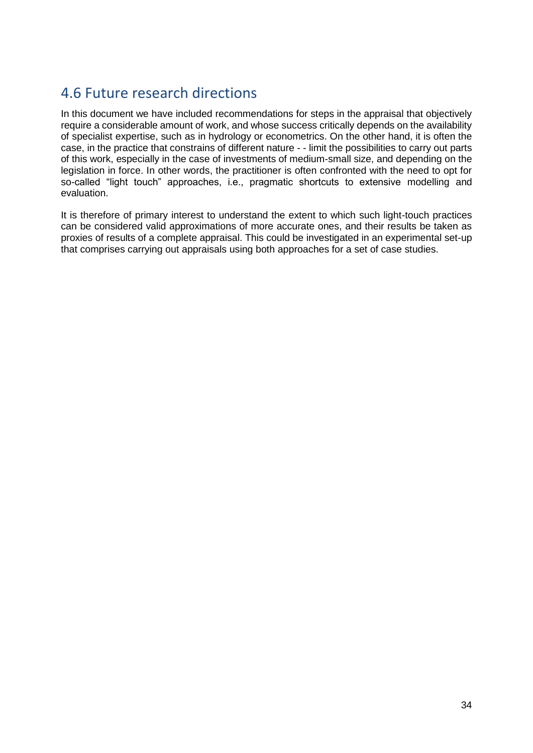### <span id="page-37-0"></span>4.6 Future research directions

In this document we have included recommendations for steps in the appraisal that objectively require a considerable amount of work, and whose success critically depends on the availability of specialist expertise, such as in hydrology or econometrics. On the other hand, it is often the case, in the practice that constrains of different nature - - limit the possibilities to carry out parts of this work, especially in the case of investments of medium-small size, and depending on the legislation in force. In other words, the practitioner is often confronted with the need to opt for so-called "light touch" approaches, i.e., pragmatic shortcuts to extensive modelling and evaluation.

It is therefore of primary interest to understand the extent to which such light-touch practices can be considered valid approximations of more accurate ones, and their results be taken as proxies of results of a complete appraisal. This could be investigated in an experimental set-up that comprises carrying out appraisals using both approaches for a set of case studies.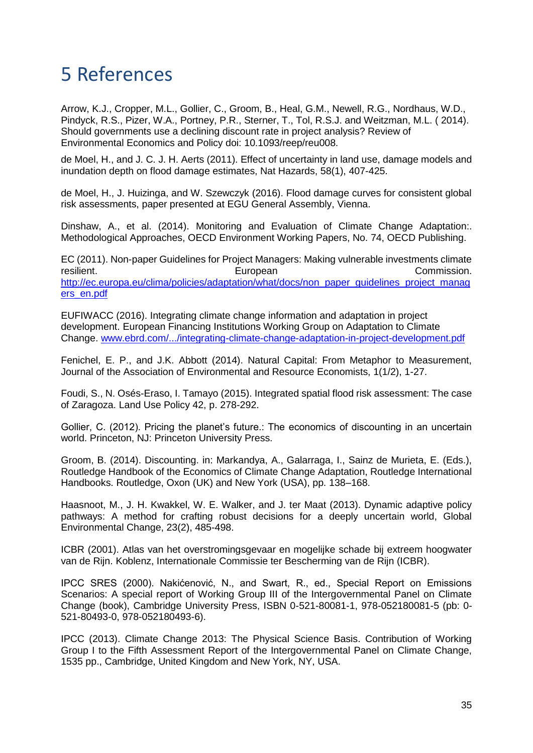## <span id="page-38-0"></span>5 References

Arrow, K.J., Cropper, M.L., Gollier, C., Groom, B., Heal, G.M., Newell, R.G., Nordhaus, W.D., Pindyck, R.S., Pizer, W.A., Portney, P.R., Sterner, T., Tol, R.S.J. and Weitzman, M.L. ( 2014). Should governments use a declining discount rate in project analysis? Review of Environmental Economics and Policy doi: 10.1093/reep/reu008.

de Moel, H., and J. C. J. H. Aerts (2011). Effect of uncertainty in land use, damage models and inundation depth on flood damage estimates, Nat Hazards, 58(1), 407-425.

de Moel, H., J. Huizinga, and W. Szewczyk (2016). Flood damage curves for consistent global risk assessments, paper presented at EGU General Assembly, Vienna.

Dinshaw, A., et al. (2014). Monitoring and Evaluation of Climate Change Adaptation:. Methodological Approaches, OECD Environment Working Papers, No. 74, OECD Publishing.

EC (2011). Non-paper Guidelines for Project Managers: Making vulnerable investments climate resilient. **European** Commission. [http://ec.europa.eu/clima/policies/adaptation/what/docs/non\\_paper\\_guidelines\\_project\\_manag](http://ec.europa.eu/clima/policies/adaptation/what/docs/non_paper_guidelines_project_managers_en.pdf) [ers\\_en.pdf](http://ec.europa.eu/clima/policies/adaptation/what/docs/non_paper_guidelines_project_managers_en.pdf)

EUFIWACC (2016). Integrating climate change information and adaptation in project development. European Financing Institutions Working Group on Adaptation to Climate Change. [www.ebrd.com/.../integrating-climate-change-adaptation-in-project-development.pdf](http://www.ebrd.com/.../integrating-climate-change-adaptation-in-project-development.pdf)

Fenichel, E. P., and J.K. Abbott (2014). Natural Capital: From Metaphor to Measurement, Journal of the Association of Environmental and Resource Economists, 1(1/2), 1-27.

Foudi, S., N. Osés-Eraso, I. Tamayo (2015). Integrated spatial flood risk assessment: The case of Zaragoza. Land Use Policy 42, p. 278-292.

Gollier, C. (2012). Pricing the planet's future.: The economics of discounting in an uncertain world. Princeton, NJ: Princeton University Press.

Groom, B. (2014). Discounting. in: Markandya, A., Galarraga, I., Sainz de Murieta, E. (Eds.), Routledge Handbook of the Economics of Climate Change Adaptation, Routledge International Handbooks. Routledge, Oxon (UK) and New York (USA), pp. 138–168.

Haasnoot, M., J. H. Kwakkel, W. E. Walker, and J. ter Maat (2013). Dynamic adaptive policy pathways: A method for crafting robust decisions for a deeply uncertain world, Global Environmental Change, 23(2), 485-498.

ICBR (2001). Atlas van het overstromingsgevaar en mogelijke schade bij extreem hoogwater van de Rijn. Koblenz, Internationale Commissie ter Bescherming van de Rijn (ICBR).

IPCC SRES (2000). Nakićenović, N., and Swart, R., ed., Special Report on Emissions Scenarios: A special report of Working Group III of the Intergovernmental Panel on Climate Change (book), Cambridge University Press, ISBN 0-521-80081-1, 978-052180081-5 (pb: 0- 521-80493-0, 978-052180493-6).

IPCC (2013). Climate Change 2013: The Physical Science Basis. Contribution of Working Group I to the Fifth Assessment Report of the Intergovernmental Panel on Climate Change, 1535 pp., Cambridge, United Kingdom and New York, NY, USA.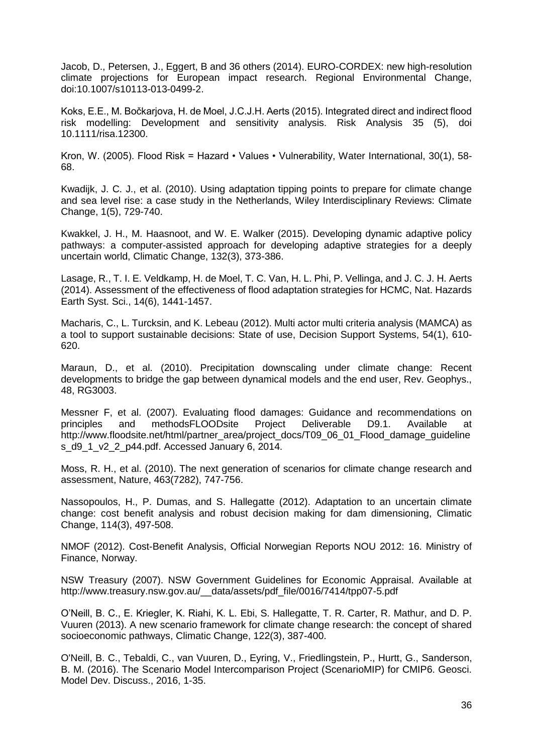Jacob, D., Petersen, J., Eggert, B and 36 others (2014). EURO-CORDEX: new high-resolution climate projections for European impact research. Regional Environmental Change, doi:10.1007/s10113-013-0499-2.

Koks, E.E., M. Bočkarjova, H. de Moel, J.C.J.H. Aerts (2015). Integrated direct and indirect flood risk modelling: Development and sensitivity analysis. Risk Analysis 35 (5), doi 10.1111/risa.12300.

Kron, W. (2005). Flood Risk = Hazard • Values • Vulnerability, Water International, 30(1), 58- 68.

Kwadijk, J. C. J., et al. (2010). Using adaptation tipping points to prepare for climate change and sea level rise: a case study in the Netherlands, Wiley Interdisciplinary Reviews: Climate Change, 1(5), 729-740.

Kwakkel, J. H., M. Haasnoot, and W. E. Walker (2015). Developing dynamic adaptive policy pathways: a computer-assisted approach for developing adaptive strategies for a deeply uncertain world, Climatic Change, 132(3), 373-386.

Lasage, R., T. I. E. Veldkamp, H. de Moel, T. C. Van, H. L. Phi, P. Vellinga, and J. C. J. H. Aerts (2014). Assessment of the effectiveness of flood adaptation strategies for HCMC, Nat. Hazards Earth Syst. Sci., 14(6), 1441-1457.

Macharis, C., L. Turcksin, and K. Lebeau (2012). Multi actor multi criteria analysis (MAMCA) as a tool to support sustainable decisions: State of use, Decision Support Systems, 54(1), 610- 620.

Maraun, D., et al. (2010). Precipitation downscaling under climate change: Recent developments to bridge the gap between dynamical models and the end user, Rev. Geophys., 48, RG3003.

Messner F, et al. (2007). Evaluating flood damages: Guidance and recommendations on principles and methodsFLOODsite Project Deliverable D9.1. Available at http://www.floodsite.net/html/partner\_area/project\_docs/T09\_06\_01\_Flood\_damage\_guideline s\_d9\_1\_v2\_2\_p44.pdf. Accessed January 6, 2014.

Moss, R. H., et al. (2010). The next generation of scenarios for climate change research and assessment, Nature, 463(7282), 747-756.

Nassopoulos, H., P. Dumas, and S. Hallegatte (2012). Adaptation to an uncertain climate change: cost benefit analysis and robust decision making for dam dimensioning, Climatic Change, 114(3), 497-508.

NMOF (2012). Cost-Benefit Analysis, Official Norwegian Reports NOU 2012: 16. Ministry of Finance, Norway.

NSW Treasury (2007). NSW Government Guidelines for Economic Appraisal. Available at http://www.treasury.nsw.gov.au/\_\_data/assets/pdf\_file/0016/7414/tpp07-5.pdf

O'Neill, B. C., E. Kriegler, K. Riahi, K. L. Ebi, S. Hallegatte, T. R. Carter, R. Mathur, and D. P. Vuuren (2013). A new scenario framework for climate change research: the concept of shared socioeconomic pathways, Climatic Change, 122(3), 387-400.

O'Neill, B. C., Tebaldi, C., van Vuuren, D., Eyring, V., Friedlingstein, P., Hurtt, G., Sanderson, B. M. (2016). The Scenario Model Intercomparison Project (ScenarioMIP) for CMIP6. Geosci. Model Dev. Discuss., 2016, 1-35.